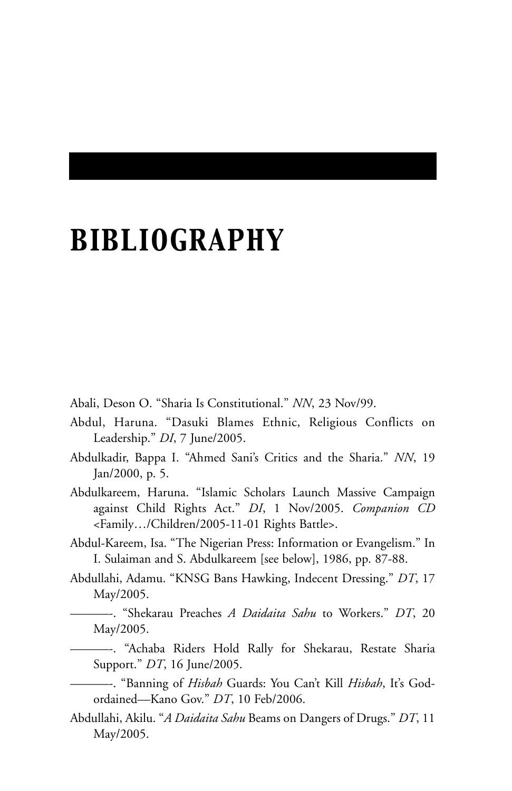## *BIBLIOGRAPHY*

Abali, Deson O. "Sharia Is Constitutional." *NN*, 23 Nov/99.

- Abdul, Haruna. "Dasuki Blames Ethnic, Religious Conflicts on Leadership." *DI*, 7 June/2005.
- Abdulkadir, Bappa I. "Ahmed Sani's Critics and the Sharia." *NN*, 19 Jan/2000, p. 5.
- Abdulkareem, Haruna. "Islamic Scholars Launch Massive Campaign against Child Rights Act." *DI*, 1 Nov/2005. *Companion CD* <Family…/Children/2005-11-01 Rights Battle>.
- Abdul-Kareem, Isa. "The Nigerian Press: Information or Evangelism." In I. Sulaiman and S. Abdulkareem [see below], 1986, pp. 87-88.
- Abdullahi, Adamu. "KNSG Bans Hawking, Indecent Dressing." *DT*, 17 May/2005.
	- ———-. "Shekarau Preaches *A Daidaita Sahu* to Workers." *DT*, 20 May/2005.
	- ———-. "Achaba Riders Hold Rally for Shekarau, Restate Sharia Support." *DT*, 16 June/2005.
	- ———-. "Banning of *Hisbah* Guards: You Can't Kill *Hisbah*, It's Godordained—Kano Gov." *DT*, 10 Feb/2006.
- Abdullahi, Akilu. "*A Daidaita Sahu* Beams on Dangers of Drugs." *DT*, 11 May/2005.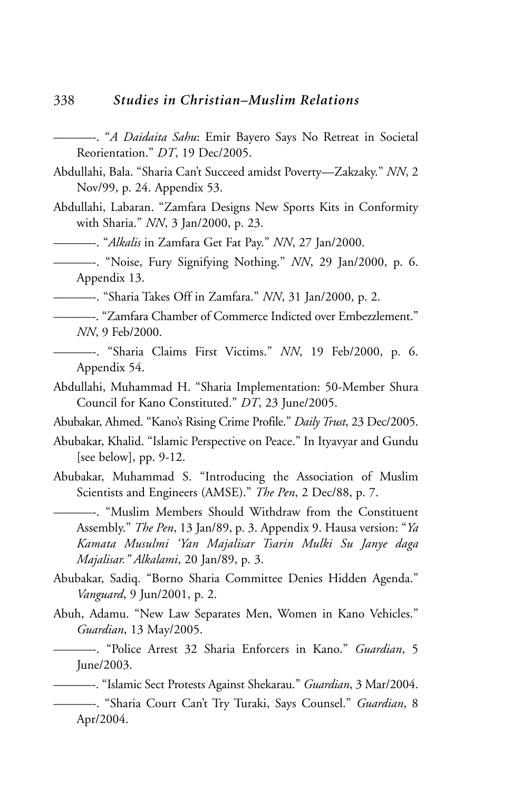- ———-. "*A Daidaita Sahu*: Emir Bayero Says No Retreat in Societal Reorientation." *DT*, 19 Dec/2005.
- Abdullahi, Bala. "Sharia Can't Succeed amidst Poverty—Zakzaky." *NN*, 2 Nov/99, p. 24. Appendix 53.
- Abdullahi, Labaran. "Zamfara Designs New Sports Kits in Conformity with Sharia." *NN*, 3 Jan/2000, p. 23.

———-. "*Alkalis* in Zamfara Get Fat Pay." *NN*, 27 Jan/2000.

———-. "Noise, Fury Signifying Nothing." *NN*, 29 Jan/2000, p. 6. Appendix 13.

———-. "Sharia Takes Off in Zamfara." *NN*, 31 Jan/2000, p. 2.

- ———-. "Zamfara Chamber of Commerce Indicted over Embezzlement." *NN*, 9 Feb/2000.
- ———-. "Sharia Claims First Victims." *NN*, 19 Feb/2000, p. 6. Appendix 54.
- Abdullahi, Muhammad H. "Sharia Implementation: 50-Member Shura Council for Kano Constituted." *DT*, 23 June/2005.

Abubakar, Ahmed. "Kano's Rising Crime Profile." *Daily Trust*, 23 Dec/2005.

- Abubakar, Khalid. "Islamic Perspective on Peace." In Ityavyar and Gundu [see below], pp. 9-12.
- Abubakar, Muhammad S. "Introducing the Association of Muslim Scientists and Engineers (AMSE)." *The Pen*, 2 Dec/88, p. 7.

———-. "Muslim Members Should Withdraw from the Constituent Assembly." *The Pen*, 13 Jan/89, p. 3. Appendix 9. Hausa version: "*Ya Kamata Musulmi 'Yan Majalisar Tsarin Mulki Su Janye daga Majalisar." Alkalami*, 20 Jan/89, p. 3.

- Abubakar, Sadiq. "Borno Sharia Committee Denies Hidden Agenda." *Vanguard*, 9 Jun/2001, p. 2.
- Abuh, Adamu. "New Law Separates Men, Women in Kano Vehicles." *Guardian*, 13 May/2005.

———-. "Police Arrest 32 Sharia Enforcers in Kano." *Guardian*, 5 June/2003.

———-. "Islamic Sect Protests Against Shekarau." *Guardian*, 3 Mar/2004.

———-. "Sharia Court Can't Try Turaki, Says Counsel." *Guardian*, 8 Apr/2004.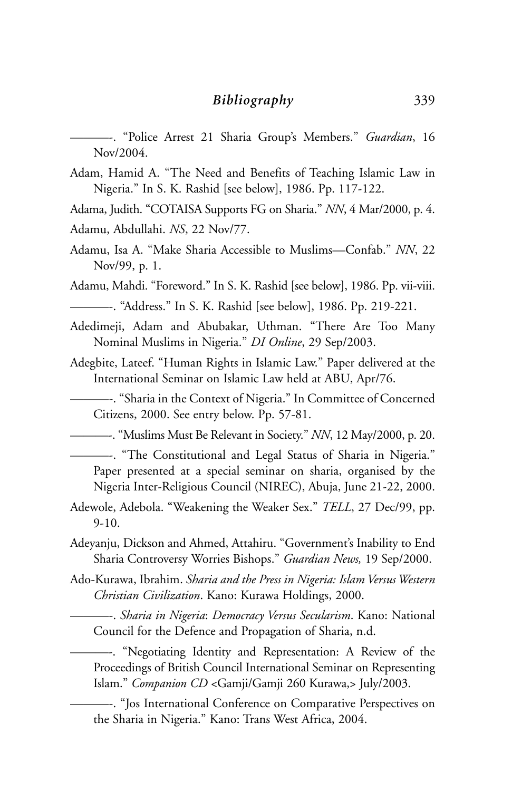———-. "Police Arrest 21 Sharia Group's Members." *Guardian*, 16 Nov/2004.

Adam, Hamid A. "The Need and Benefits of Teaching Islamic Law in Nigeria." In S. K. Rashid [see below], 1986. Pp. 117-122.

Adama, Judith. "COTAISA Supports FG on Sharia." *NN*, 4 Mar/2000, p. 4.

- Adamu, Abdullahi. *NS*, 22 Nov/77.
- Adamu, Isa A. "Make Sharia Accessible to Muslims—Confab." *NN*, 22 Nov/99, p. 1.

Adamu, Mahdi. "Foreword." In S. K. Rashid [see below], 1986. Pp. vii-viii.

———-. "Address." In S. K. Rashid [see below], 1986. Pp. 219-221.

- Adedimeji, Adam and Abubakar, Uthman. "There Are Too Many Nominal Muslims in Nigeria." *DI Online*, 29 Sep/2003.
- Adegbite, Lateef. "Human Rights in Islamic Law." Paper delivered at the International Seminar on Islamic Law held at ABU, Apr/76.
	- ———-. "Sharia in the Context of Nigeria." In Committee of Concerned Citizens, 2000. See entry below. Pp. 57-81.

———-. "Muslims Must Be Relevant in Society." *NN*, 12 May/2000, p. 20.

- ———-. "The Constitutional and Legal Status of Sharia in Nigeria." Paper presented at a special seminar on sharia, organised by the Nigeria Inter-Religious Council (NIREC), Abuja, June 21-22, 2000.
- Adewole, Adebola. "Weakening the Weaker Sex." *TELL*, 27 Dec/99, pp. 9-10.
- Adeyanju, Dickson and Ahmed, Attahiru. "Government's Inability to End Sharia Controversy Worries Bishops." *Guardian News,* 19 Sep/2000.
- Ado-Kurawa, Ibrahim. *Sharia and the Press in Nigeria: Islam Versus Western Christian Civilization*. Kano: Kurawa Holdings, 2000.

———-. *Sharia in Nigeria*: *Democracy Versus Secularism*. Kano: National Council for the Defence and Propagation of Sharia, n.d.

———-. "Negotiating Identity and Representation: A Review of the Proceedings of British Council International Seminar on Representing Islam." *Companion CD* <Gamji/Gamji 260 Kurawa,> July/2003.

———-. "Jos International Conference on Comparative Perspectives on the Sharia in Nigeria." Kano: Trans West Africa, 2004.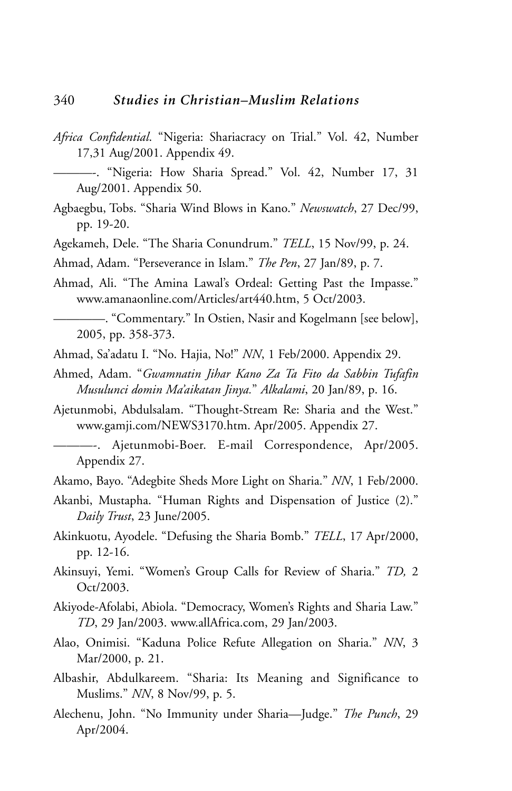*Africa Confidential*. "Nigeria: Shariacracy on Trial." Vol. 42, Number 17,31 Aug/2001. Appendix 49.

- Agbaegbu, Tobs. "Sharia Wind Blows in Kano." *Newswatch*, 27 Dec/99, pp. 19-20.
- Agekameh, Dele. "The Sharia Conundrum." *TELL*, 15 Nov/99, p. 24.
- Ahmad, Adam. "Perseverance in Islam." *The Pen*, 27 Jan/89, p. 7.
- Ahmad, Ali. "The Amina Lawal's Ordeal: Getting Past the Impasse." www.amanaonline.com/Articles/art440.htm, 5 Oct/2003.

————. "Commentary." In Ostien, Nasir and Kogelmann [see below], 2005, pp. 358-373.

- Ahmad, Sa'adatu I. "No. Hajia, No!" *NN*, 1 Feb/2000. Appendix 29.
- Ahmed, Adam. "*Gwamnatin Jihar Kano Za Ta Fito da Sabbin Tufafin Musulunci domin Ma'aikatan Jinya.*" *Alkalami*, 20 Jan/89, p. 16.
- Ajetunmobi, Abdulsalam. "Thought-Stream Re: Sharia and the West." www.gamji.com/NEWS3170.htm. Apr/2005. Appendix 27.
- ———-. Ajetunmobi-Boer. E-mail Correspondence, Apr/2005. Appendix 27.
- Akamo, Bayo. "Adegbite Sheds More Light on Sharia." *NN*, 1 Feb/2000.
- Akanbi, Mustapha. "Human Rights and Dispensation of Justice (2)." *Daily Trust*, 23 June/2005.
- Akinkuotu, Ayodele. "Defusing the Sharia Bomb." *TELL*, 17 Apr/2000, pp. 12-16.
- Akinsuyi, Yemi. "Women's Group Calls for Review of Sharia." *TD,* 2 Oct/2003.
- Akiyode-Afolabi, Abiola. "Democracy, Women's Rights and Sharia Law." *TD*, 29 Jan/2003. www.allAfrica.com, 29 Jan/2003.
- Alao, Onimisi. "Kaduna Police Refute Allegation on Sharia." *NN*, 3 Mar/2000, p. 21.
- Albashir, Abdulkareem. "Sharia: Its Meaning and Significance to Muslims." *NN*, 8 Nov/99, p. 5.
- Alechenu, John. "No Immunity under Sharia—Judge." *The Punch*, 29 Apr/2004.

<sup>———-. &</sup>quot;Nigeria: How Sharia Spread." Vol. 42, Number 17, 31 Aug/2001. Appendix 50.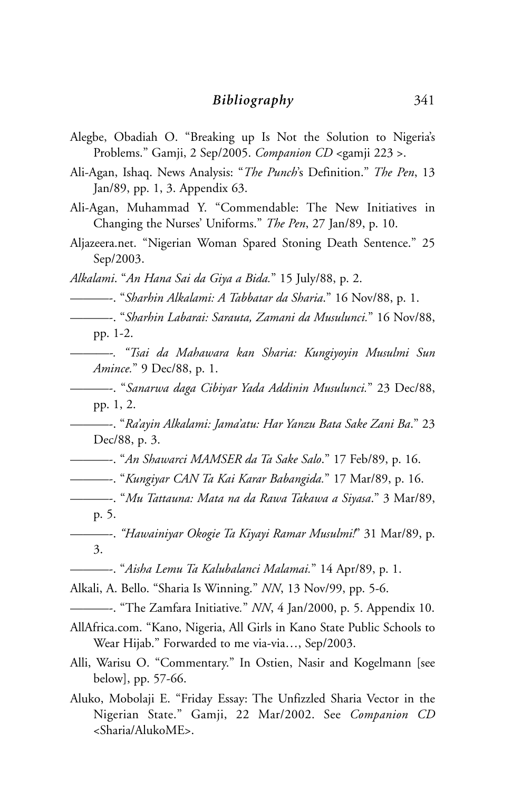- Alegbe, Obadiah O. "Breaking up Is Not the Solution to Nigeria's Problems." Gamji, 2 Sep/2005. *Companion CD* <gamji 223 >.
- Ali-Agan, Ishaq. News Analysis: "*The Punch*'s Definition." *The Pen*, 13 Jan/89, pp. 1, 3. Appendix 63.
- Ali-Agan, Muhammad Y. "Commendable: The New Initiatives in Changing the Nurses' Uniforms." *The Pen*, 27 Jan/89, p. 10.
- Aljazeera.net. "Nigerian Woman Spared Stoning Death Sentence." 25 Sep/2003.
- *Alkalami*. "*An Hana Sai da Giya a Bida.*" 15 July/88, p. 2.
	- ———-. "*Sharhin Alkalami: A Tabbatar da Sharia*." 16 Nov/88, p. 1.
- ———-. "*Sharhin Labarai: Sarauta, Zamani da Musulunci.*" 16 Nov/88, pp. 1-2.
- —*——-. "Tsai da Mahawara kan Sharia: Kungiyoyin Musulmi Sun Amince.*" 9 Dec/88, p. 1.
- ———-. "*Sanarwa daga Cibiyar Yada Addinin Musulunci.*" 23 Dec/88, pp. 1, 2.
- ———-. "*Ra'ayin Alkalami: Jama'atu: Har Yanzu Bata Sake Zani Ba*." 23 Dec/88, p. 3.
- ———-. "*An Shawarci MAMSER da Ta Sake Salo*." 17 Feb/89, p. 16.
- ———-. "*Kungiyar CAN Ta Kai Karar Babangida.*" 17 Mar/89, p. 16.
- ———-. "*Mu Tattauna: Mata na da Rawa Takawa a Siyasa*." 3 Mar/89, p. 5.
- ———-. *"Hawainiyar Okogie Ta Kiyayi Ramar Musulmi!*" 31 Mar/89, p. 3.
	- ———-. "*Aisha Lemu Ta Kalubalanci Malamai.*" 14 Apr/89, p. 1.
- Alkali, A. Bello. "Sharia Is Winning." *NN*, 13 Nov/99, pp. 5-6.
	- ———-. "The Zamfara Initiative*.*" *NN*, 4 Jan/2000, p. 5. Appendix 10.
- AllAfrica.com. "Kano, Nigeria, All Girls in Kano State Public Schools to Wear Hijab." Forwarded to me via-via…, Sep/2003.
- Alli, Warisu O. "Commentary." In Ostien, Nasir and Kogelmann [see below], pp. 57-66.
- Aluko, Mobolaji E. "Friday Essay: The Unfizzled Sharia Vector in the Nigerian State." Gamji, 22 Mar/2002. See *Companion CD* <Sharia/AlukoME>.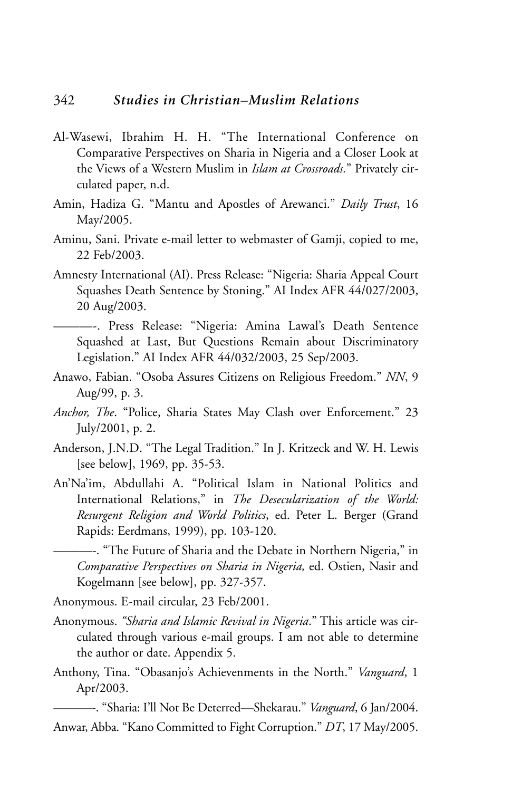- Al-Wasewi, Ibrahim H. H. "The International Conference on Comparative Perspectives on Sharia in Nigeria and a Closer Look at the Views of a Western Muslim in *Islam at Crossroads.*" Privately circulated paper, n.d.
- Amin, Hadiza G. "Mantu and Apostles of Arewanci." *Daily Trust*, 16 May/2005.
- Aminu, Sani. Private e-mail letter to webmaster of Gamji, copied to me, 22 Feb/2003.
- Amnesty International (AI). Press Release: "Nigeria: Sharia Appeal Court Squashes Death Sentence by Stoning." AI Index AFR 44/027/2003, 20 Aug/2003.
- ———-. Press Release: "Nigeria: Amina Lawal's Death Sentence Squashed at Last, But Questions Remain about Discriminatory Legislation." AI Index AFR 44/032/2003, 25 Sep/2003.
- Anawo, Fabian. "Osoba Assures Citizens on Religious Freedom." *NN*, 9 Aug/99, p. 3.
- *Anchor, The*. "Police, Sharia States May Clash over Enforcement." 23 July/2001, p. 2.
- Anderson, J.N.D. "The Legal Tradition." In J. Kritzeck and W. H. Lewis [see below], 1969, pp. 35-53.
- An'Na'im, Abdullahi A. "Political Islam in National Politics and International Relations," in *The Desecularization of the World: Resurgent Religion and World Politics*, ed. Peter L. Berger (Grand Rapids: Eerdmans, 1999), pp. 103-120.

———-. "The Future of Sharia and the Debate in Northern Nigeria," in *Comparative Perspectives on Sharia in Nigeria,* ed. Ostien, Nasir and Kogelmann [see below], pp. 327-357.

Anonymous. E-mail circular, 23 Feb/2001.

- Anonymous. *"Sharia and Islamic Revival in Nigeria*." This article was circulated through various e-mail groups. I am not able to determine the author or date. Appendix 5.
- Anthony, Tina. "Obasanjo's Achievenments in the North." *Vanguard*, 1 Apr/2003.

———-. "Sharia: I'll Not Be Deterred—Shekarau." *Vanguard*, 6 Jan/2004. Anwar, Abba. "Kano Committed to Fight Corruption." *DT*, 17 May/2005.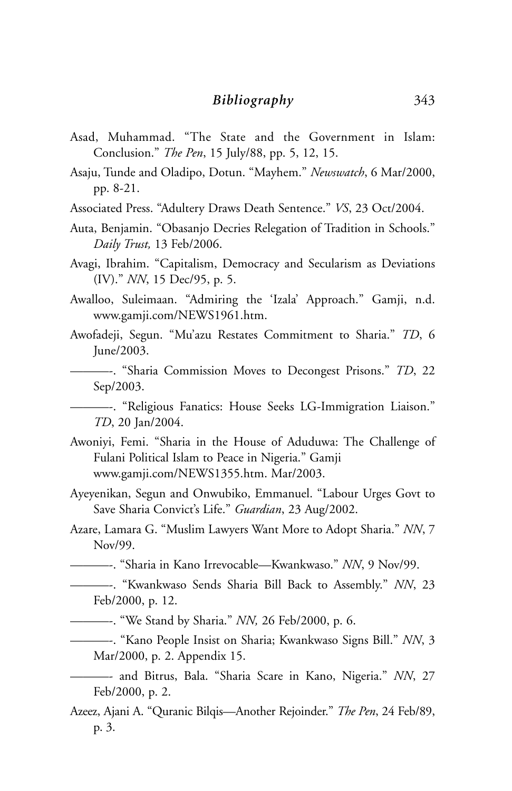- Asad, Muhammad. "The State and the Government in Islam: Conclusion." *The Pen*, 15 July/88, pp. 5, 12, 15.
- Asaju, Tunde and Oladipo, Dotun. "Mayhem." *Newswatch*, 6 Mar/2000, pp. 8-21.
- Associated Press. "Adultery Draws Death Sentence." *VS*, 23 Oct/2004.
- Auta, Benjamin. "Obasanjo Decries Relegation of Tradition in Schools." *Daily Trust,* 13 Feb/2006.
- Avagi, Ibrahim. "Capitalism, Democracy and Secularism as Deviations (IV)." *NN*, 15 Dec/95, p. 5.
- Awalloo, Suleimaan. "Admiring the 'Izala' Approach." Gamji, n.d. www.gamji.com/NEWS1961.htm.
- Awofadeji, Segun. "Mu'azu Restates Commitment to Sharia." *TD*, 6 June/2003.
	- ———-. "Sharia Commission Moves to Decongest Prisons." *TD*, 22 Sep/2003.
	- ———-. "Religious Fanatics: House Seeks LG-Immigration Liaison." *TD*, 20 Jan/2004.
- Awoniyi, Femi. "Sharia in the House of Aduduwa: The Challenge of Fulani Political Islam to Peace in Nigeria." Gamji www.gamji.com/NEWS1355.htm. Mar/2003.
- Ayeyenikan, Segun and Onwubiko, Emmanuel. "Labour Urges Govt to Save Sharia Convict's Life." *Guardian*, 23 Aug/2002.
- Azare, Lamara G. "Muslim Lawyers Want More to Adopt Sharia." *NN*, 7 Nov/99.
- ———-. "Sharia in Kano Irrevocable—Kwankwaso." *NN*, 9 Nov/99.
- ———-. "Kwankwaso Sends Sharia Bill Back to Assembly." *NN*, 23 Feb/2000, p. 12.
	- ———-. "We Stand by Sharia." *NN,* 26 Feb/2000, p. 6.
	- ———-. "Kano People Insist on Sharia; Kwankwaso Signs Bill." *NN*, 3 Mar/2000, p. 2. Appendix 15.
- ———- and Bitrus, Bala. "Sharia Scare in Kano, Nigeria." *NN*, 27 Feb/2000, p. 2.
- Azeez, Ajani A. "Quranic Bilqis—Another Rejoinder." *The Pen*, 24 Feb/89, p. 3.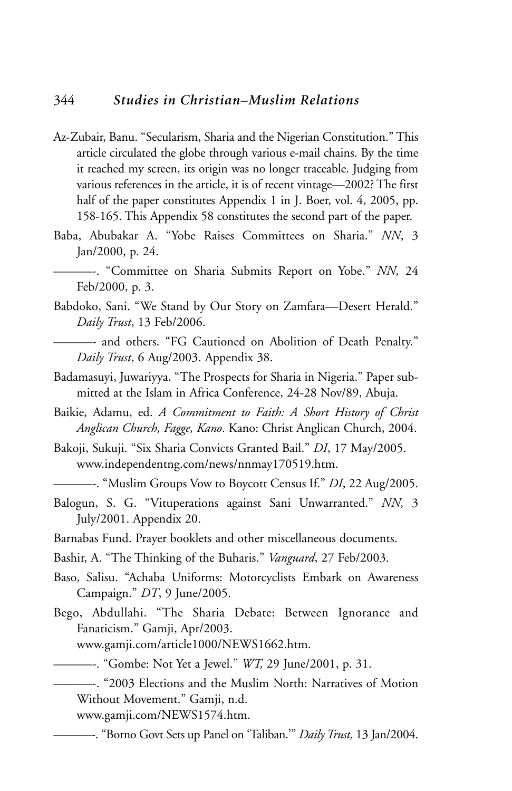## 344 *Studies in Christian–Muslim Relations*

- Az-Zubair, Banu. "Secularism, Sharia and the Nigerian Constitution." This article circulated the globe through various e-mail chains. By the time it reached my screen, its origin was no longer traceable. Judging from various references in the article, it is of recent vintage—2002? The first half of the paper constitutes Appendix 1 in J. Boer, vol. 4, 2005, pp. 158-165. This Appendix 58 constitutes the second part of the paper.
- Baba, Abubakar A. "Yobe Raises Committees on Sharia." *NN*, 3 Jan/2000, p. 24.
- ———-. "Committee on Sharia Submits Report on Yobe." *NN,* 24 Feb/2000, p. 3.
- Babdoko, Sani. "We Stand by Our Story on Zamfara—Desert Herald." *Daily Trust*, 13 Feb/2006.
	- -- and others. "FG Cautioned on Abolition of Death Penalty." *Daily Trust*, 6 Aug/2003. Appendix 38.
- Badamasuyi, Juwariyya. "The Prospects for Sharia in Nigeria." Paper submitted at the Islam in Africa Conference, 24-28 Nov/89, Abuja.
- Baikie, Adamu, ed. *A Commitment to Faith: A Short History of Christ Anglican Church, Fagge, Kano*. Kano: Christ Anglican Church, 2004.
- Bakoji, Sukuji. "Six Sharia Convicts Granted Bail." *DI*, 17 May/2005. www.independentng.com/news/nnmay170519.htm.

- Balogun, S. G. "Vituperations against Sani Unwarranted." *NN,* 3 July/2001. Appendix 20.
- Barnabas Fund. Prayer booklets and other miscellaneous documents.
- Bashir, A. "The Thinking of the Buharis." *Vanguard*, 27 Feb/2003.
- Baso, Salisu. "Achaba Uniforms: Motorcyclists Embark on Awareness Campaign." *DT*, 9 June/2005.
- Bego, Abdullahi. "The Sharia Debate: Between Ignorance and Fanaticism." Gamji, Apr/2003.

www.gamji.com/article1000/NEWS1662.htm.

———-. "Gombe: Not Yet a Jewel." *WT,* 29 June/2001, p. 31.

———-. "2003 Elections and the Muslim North: Narratives of Motion Without Movement." Gamji, n.d.

www.gamji.com/NEWS1574.htm.

———-. "Borno Govt Sets up Panel on 'Taliban.'" *Daily Trust*, 13 Jan/2004.

<sup>———-. &</sup>quot;Muslim Groups Vow to Boycott Census If." *DI*, 22 Aug/2005.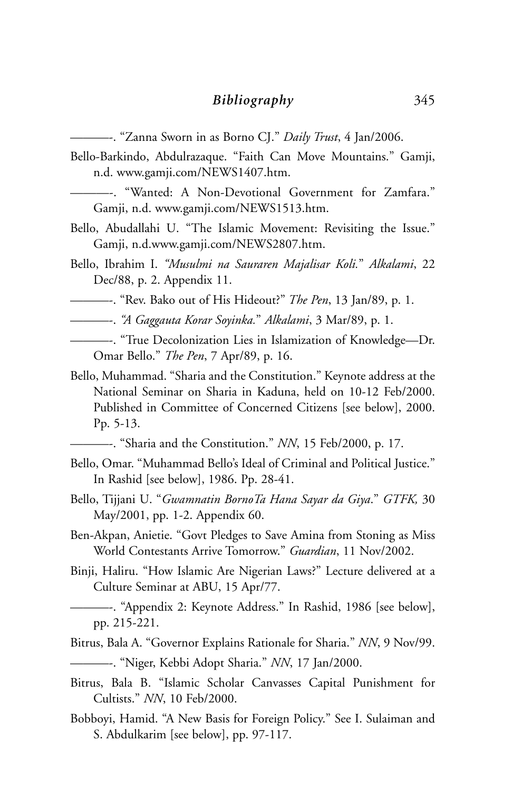———-. "Zanna Sworn in as Borno CJ." *Daily Trust*, 4 Jan/2006.

- Bello-Barkindo, Abdulrazaque. "Faith Can Move Mountains." Gamji, n.d. www.gamji.com/NEWS1407.htm.
	- ———-. "Wanted: A Non-Devotional Government for Zamfara." Gamji, n.d. www.gamji.com/NEWS1513.htm.
- Bello, Abudallahi U. "The Islamic Movement: Revisiting the Issue." Gamji, n.d.www.gamji.com/NEWS2807.htm.
- Bello, Ibrahim I. *"Musulmi na Sauraren Majalisar Koli.*" *Alkalami*, 22 Dec/88, p. 2. Appendix 11.
- ———-. "Rev. Bako out of His Hideout?" *The Pen*, 13 Jan/89, p. 1.
- ———-. *"A Gaggauta Korar Soyinka.*" *Alkalami*, 3 Mar/89, p. 1.
- ———-. "True Decolonization Lies in Islamization of Knowledge—Dr. Omar Bello." *The Pen*, 7 Apr/89, p. 16.
- Bello, Muhammad. "Sharia and the Constitution." Keynote address at the National Seminar on Sharia in Kaduna, held on 10-12 Feb/2000. Published in Committee of Concerned Citizens [see below], 2000. Pp. 5-13.
	- ———-. "Sharia and the Constitution." *NN*, 15 Feb/2000, p. 17.
- Bello, Omar. "Muhammad Bello's Ideal of Criminal and Political Justice." In Rashid [see below], 1986. Pp. 28-41.
- Bello, Tijjani U. "*Gwamnatin BornoTa Hana Sayar da Giya*." *GTFK,* 30 May/2001, pp. 1-2. Appendix 60.
- Ben-Akpan, Anietie. "Govt Pledges to Save Amina from Stoning as Miss World Contestants Arrive Tomorrow." *Guardian*, 11 Nov/2002.
- Binji, Haliru. "How Islamic Are Nigerian Laws?" Lecture delivered at a Culture Seminar at ABU, 15 Apr/77.
- ———-. "Appendix 2: Keynote Address." In Rashid, 1986 [see below], pp. 215-221.
- Bitrus, Bala A. "Governor Explains Rationale for Sharia." *NN*, 9 Nov/99.
- ———-. "Niger, Kebbi Adopt Sharia." *NN*, 17 Jan/2000.
- Bitrus, Bala B. "Islamic Scholar Canvasses Capital Punishment for Cultists." *NN*, 10 Feb/2000.
- Bobboyi, Hamid. "A New Basis for Foreign Policy." See I. Sulaiman and S. Abdulkarim [see below], pp. 97-117.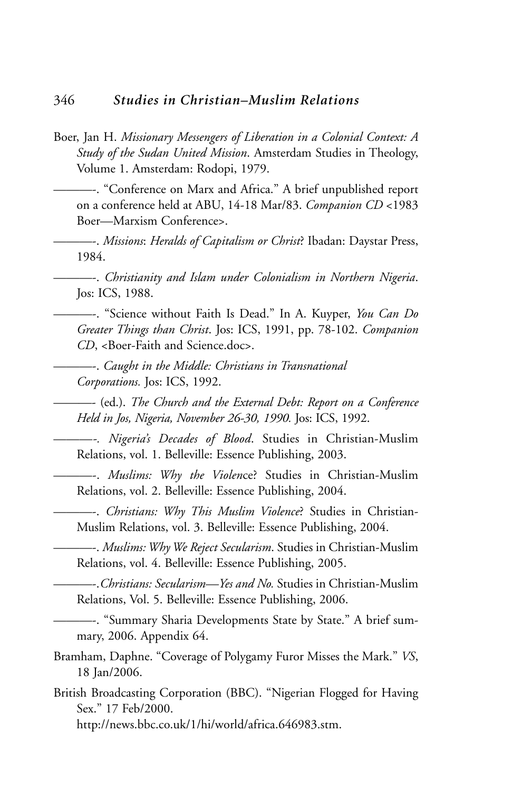- Boer, Jan H. *Missionary Messengers of Liberation in a Colonial Context: A Study of the Sudan United Mission*. Amsterdam Studies in Theology, Volume 1. Amsterdam: Rodopi, 1979.
	- ———-. "Conference on Marx and Africa." A brief unpublished report on a conference held at ABU, 14-18 Mar/83. *Companion CD* <1983 Boer—Marxism Conference>.
- ———-. *Missions*: *Heralds of Capitalism or Christ*? Ibadan: Daystar Press, 1984.

———-. *Christianity and Islam under Colonialism in Northern Nigeria*. Jos: ICS, 1988.

———-. "Science without Faith Is Dead." In A. Kuyper, *You Can Do Greater Things than Christ*. Jos: ICS, 1991, pp. 78-102. *Companion CD*, <Boer-Faith and Science.doc>.

———-. *Caught in the Middle: Christians in Transnational Corporations.* Jos: ICS, 1992.

———- (ed.). *The Church and the External Debt: Report on a Conference Held in Jos, Nigeria, November 26-30, 1990.* Jos: ICS, 1992.

———*-. Nigeria's Decades of Blood*. Studies in Christian-Muslim Relations, vol. 1. Belleville: Essence Publishing, 2003.

———-. *Muslims: Why the Violen*ce? Studies in Christian-Muslim Relations, vol. 2. Belleville: Essence Publishing, 2004.

———-. *Christians: Why This Muslim Violence*? Studies in Christian-Muslim Relations, vol. 3. Belleville: Essence Publishing, 2004.

———-. *Muslims: Why We Reject Secularism*. Studies in Christian-Muslim Relations, vol. 4. Belleville: Essence Publishing, 2005.

———-.*Christians: Secularism—Yes and No.* Studies in Christian-Muslim Relations, Vol. 5. Belleville: Essence Publishing, 2006.

———-. "Summary Sharia Developments State by State." A brief summary, 2006. Appendix 64.

- Bramham, Daphne. "Coverage of Polygamy Furor Misses the Mark." *VS*, 18 Jan/2006.
- British Broadcasting Corporation (BBC). "Nigerian Flogged for Having Sex." 17 Feb/2000.

http://news.bbc.co.uk/1/hi/world/africa.646983.stm.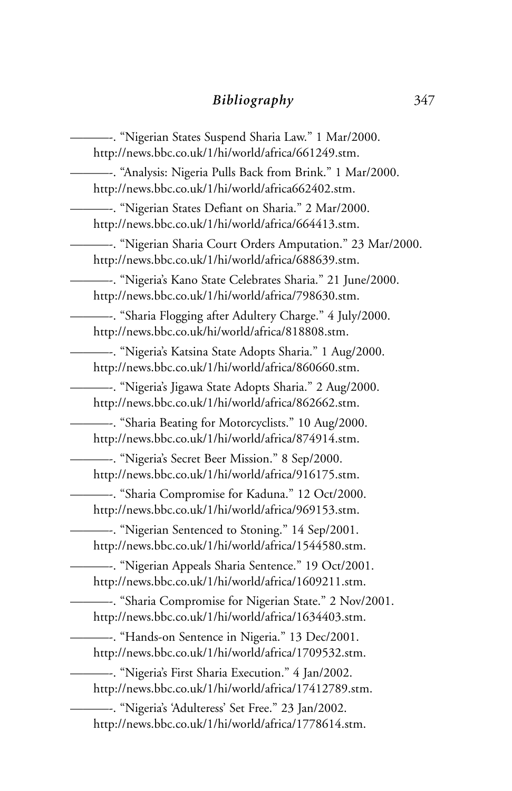———-. "Nigerian States Suspend Sharia Law." 1 Mar/2000. http://news.bbc.co.uk/1/hi/world/africa/661249.stm. ———-. "Analysis: Nigeria Pulls Back from Brink." 1 Mar/2000. http://news.bbc.co.uk/1/hi/world/africa662402.stm. ———-. "Nigerian States Defiant on Sharia." 2 Mar/2000. http://news.bbc.co.uk/1/hi/world/africa/664413.stm. ———-. "Nigerian Sharia Court Orders Amputation." 23 Mar/2000. http://news.bbc.co.uk/1/hi/world/africa/688639.stm. ———-. "Nigeria's Kano State Celebrates Sharia." 21 June/2000. http://news.bbc.co.uk/1/hi/world/africa/798630.stm. ———-. "Sharia Flogging after Adultery Charge." 4 July/2000. http://news.bbc.co.uk/hi/world/africa/818808.stm. ———-. "Nigeria's Katsina State Adopts Sharia." 1 Aug/2000. http://news.bbc.co.uk/1/hi/world/africa/860660.stm. ———-. "Nigeria's Jigawa State Adopts Sharia." 2 Aug/2000. http://news.bbc.co.uk/1/hi/world/africa/862662.stm. ———-. "Sharia Beating for Motorcyclists." 10 Aug/2000. http://news.bbc.co.uk/1/hi/world/africa/874914.stm. ———-. "Nigeria's Secret Beer Mission." 8 Sep/2000. http://news.bbc.co.uk/1/hi/world/africa/916175.stm. ———-. "Sharia Compromise for Kaduna." 12 Oct/2000. http://news.bbc.co.uk/1/hi/world/africa/969153.stm. ———-. "Nigerian Sentenced to Stoning." 14 Sep/2001. http://news.bbc.co.uk/1/hi/world/africa/1544580.stm. ———-. "Nigerian Appeals Sharia Sentence." 19 Oct/2001. http://news.bbc.co.uk/1/hi/world/africa/1609211.stm. ———-. "Sharia Compromise for Nigerian State." 2 Nov/2001. http://news.bbc.co.uk/1/hi/world/africa/1634403.stm. ———-. "Hands-on Sentence in Nigeria." 13 Dec/2001. http://news.bbc.co.uk/1/hi/world/africa/1709532.stm. ———-. "Nigeria's First Sharia Execution." 4 Jan/2002. http://news.bbc.co.uk/1/hi/world/africa/17412789.stm. ———-. "Nigeria's 'Adulteress' Set Free." 23 Jan/2002. http://news.bbc.co.uk/1/hi/world/africa/1778614.stm.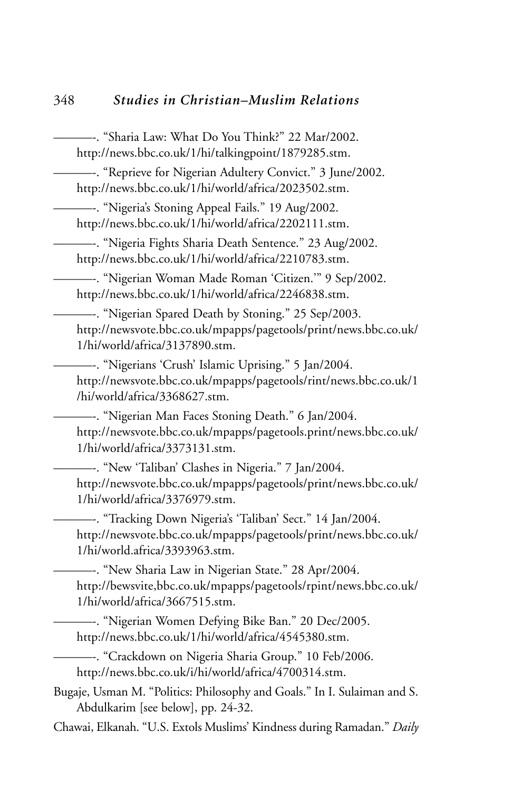———-. "Sharia Law: What Do You Think?" 22 Mar/2002. http://news.bbc.co.uk/1/hi/talkingpoint/1879285.stm. ———-. "Reprieve for Nigerian Adultery Convict." 3 June/2002. http://news.bbc.co.uk/1/hi/world/africa/2023502.stm. ———-. "Nigeria's Stoning Appeal Fails." 19 Aug/2002. http://news.bbc.co.uk/1/hi/world/africa/2202111.stm. ———-. "Nigeria Fights Sharia Death Sentence." 23 Aug/2002. http://news.bbc.co.uk/1/hi/world/africa/2210783.stm. ———-. "Nigerian Woman Made Roman 'Citizen.'" 9 Sep/2002. http://news.bbc.co.uk/1/hi/world/africa/2246838.stm. ———-. "Nigerian Spared Death by Stoning." 25 Sep/2003. http://newsvote.bbc.co.uk/mpapps/pagetools/print/news.bbc.co.uk/ 1/hi/world/africa/3137890.stm. ———-. "Nigerians 'Crush' Islamic Uprising." 5 Jan/2004. http://newsvote.bbc.co.uk/mpapps/pagetools/rint/news.bbc.co.uk/1 /hi/world/africa/3368627.stm. ———-. "Nigerian Man Faces Stoning Death." 6 Jan/2004. http://newsvote.bbc.co.uk/mpapps/pagetools.print/news.bbc.co.uk/ 1/hi/world/africa/3373131.stm. ———-. "New 'Taliban' Clashes in Nigeria." 7 Jan/2004. http://newsvote.bbc.co.uk/mpapps/pagetools/print/news.bbc.co.uk/ 1/hi/world/africa/3376979.stm. ———-. "Tracking Down Nigeria's 'Taliban' Sect." 14 Jan/2004. http://newsvote.bbc.co.uk/mpapps/pagetools/print/news.bbc.co.uk/ 1/hi/world.africa/3393963.stm. ———-. "New Sharia Law in Nigerian State." 28 Apr/2004. http://bewsvite,bbc.co.uk/mpapps/pagetools/rpint/news.bbc.co.uk/ 1/hi/world/africa/3667515.stm. ———-. "Nigerian Women Defying Bike Ban." 20 Dec/2005. http://news.bbc.co.uk/1/hi/world/africa/4545380.stm. ———-. "Crackdown on Nigeria Sharia Group." 10 Feb/2006. http://news.bbc.co.uk/i/hi/world/africa/4700314.stm. Bugaje, Usman M. "Politics: Philosophy and Goals." In I. Sulaiman and S. Abdulkarim [see below], pp. 24-32. Chawai, Elkanah. "U.S. Extols Muslims' Kindness during Ramadan." *Daily*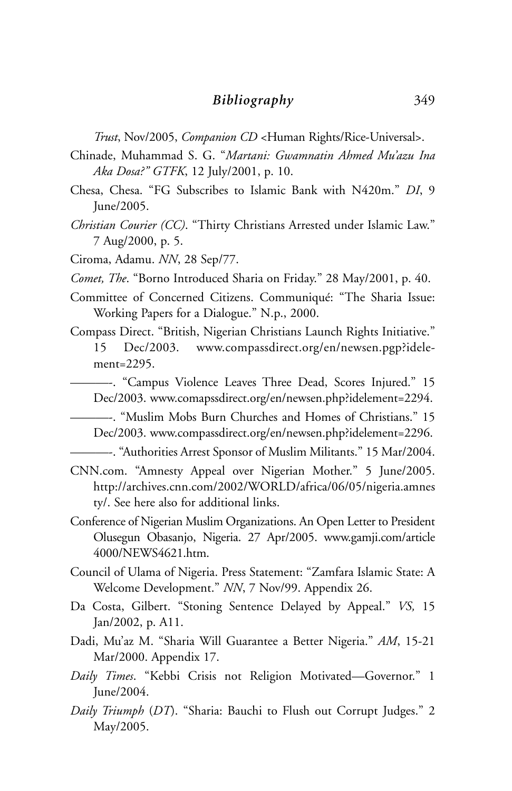*Trust*, Nov/2005, *Companion CD* <Human Rights/Rice-Universal>.

- Chinade, Muhammad S. G. "*Martani: Gwamnatin Ahmed Mu'azu Ina Aka Dosa?" GTFK*, 12 July/2001, p. 10.
- Chesa, Chesa. "FG Subscribes to Islamic Bank with N420m." *DI*, 9 June/2005.
- *Christian Courier (CC)*. "Thirty Christians Arrested under Islamic Law." 7 Aug/2000, p. 5.
- Ciroma, Adamu. *NN*, 28 Sep/77.
- *Comet, The*. "Borno Introduced Sharia on Friday." 28 May/2001, p. 40.
- Committee of Concerned Citizens. Communiqué: "The Sharia Issue: Working Papers for a Dialogue." N.p., 2000.
- Compass Direct. "British, Nigerian Christians Launch Rights Initiative." 15 Dec/2003. www.compassdirect.org/en/newsen.pgp?idelement=2295.
- ———-. "Campus Violence Leaves Three Dead, Scores Injured." 15 Dec/2003. www.comapssdirect.org/en/newsen.php?idelement=2294.
	- ———-. "Muslim Mobs Burn Churches and Homes of Christians." 15 Dec/2003. www.compassdirect.org/en/newsen.php?idelement=2296.
- ———-. "Authorities Arrest Sponsor of Muslim Militants." 15 Mar/2004.
- CNN.com. "Amnesty Appeal over Nigerian Mother." 5 June/2005. http://archives.cnn.com/2002/WORLD/africa/06/05/nigeria.amnes ty/. See here also for additional links.
- Conference of Nigerian Muslim Organizations. An Open Letter to President Olusegun Obasanjo, Nigeria. 27 Apr/2005. www.gamji.com/article 4000/NEWS4621.htm.
- Council of Ulama of Nigeria. Press Statement: "Zamfara Islamic State: A Welcome Development." *NN*, 7 Nov/99. Appendix 26.
- Da Costa, Gilbert. "Stoning Sentence Delayed by Appeal." *VS,* 15 Jan/2002, p. A11.
- Dadi, Mu'az M. "Sharia Will Guarantee a Better Nigeria." *AM*, 15-21 Mar/2000. Appendix 17.
- *Daily Times*. "Kebbi Crisis not Religion Motivated—Governor." 1 June/2004.
- *Daily Triumph* (*DT*). "Sharia: Bauchi to Flush out Corrupt Judges." 2 May/2005.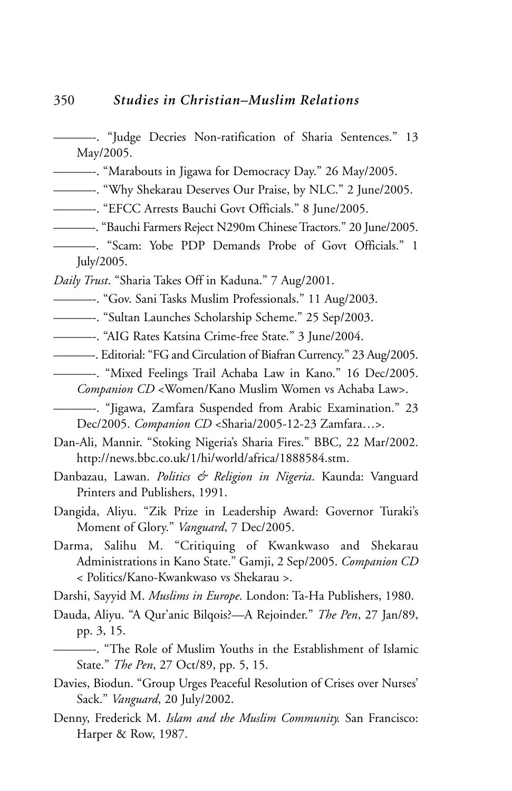- ———-. "Judge Decries Non-ratification of Sharia Sentences." 13 May/2005.
- ———-. "Marabouts in Jigawa for Democracy Day." 26 May/2005.
- ———-. "Why Shekarau Deserves Our Praise, by NLC." 2 June/2005.
- ———-. "EFCC Arrests Bauchi Govt Officials." 8 June/2005.
- ———-. "Bauchi Farmers Reject N290m Chinese Tractors." 20 June/2005.
- ———-. "Scam: Yobe PDP Demands Probe of Govt Officials." 1 July/2005.
- *Daily Trust*. "Sharia Takes Off in Kaduna." 7 Aug/2001.
- ———-. "Gov. Sani Tasks Muslim Professionals." 11 Aug/2003.
- ———-. "Sultan Launches Scholarship Scheme." 25 Sep/2003.
- ———-. "AIG Rates Katsina Crime-free State." 3 June/2004.
- ———-. Editorial: "FG and Circulation of Biafran Currency." 23 Aug/2005.
	- ———-. "Mixed Feelings Trail Achaba Law in Kano." 16 Dec/2005. *Companion CD* <Women/Kano Muslim Women vs Achaba Law>.

———-. "Jigawa, Zamfara Suspended from Arabic Examination." 23 Dec/2005. *Companion CD* <Sharia/2005-12-23 Zamfara…>.

- Dan-Ali, Mannir. "Stoking Nigeria's Sharia Fires." BBC, 22 Mar/2002. http://news.bbc.co.uk/1/hi/world/africa/1888584.stm.
- Danbazau, Lawan. *Politics & Religion in Nigeria*. Kaunda: Vanguard Printers and Publishers, 1991.
- Dangida, Aliyu. "Zik Prize in Leadership Award: Governor Turaki's Moment of Glory." *Vanguard*, 7 Dec/2005.
- Darma, Salihu M. "Critiquing of Kwankwaso and Shekarau Administrations in Kano State." Gamji, 2 Sep/2005. *Companion CD* < Politics/Kano-Kwankwaso vs Shekarau >.
- Darshi, Sayyid M. *Muslims in Europe*. London: Ta-Ha Publishers, 1980.
- Dauda, Aliyu. "A Qur'anic Bilqois?—A Rejoinder." *The Pen*, 27 Jan/89, pp. 3, 15.
- ———-. "The Role of Muslim Youths in the Establishment of Islamic State." *The Pen*, 27 Oct/89, pp. 5, 15.
- Davies, Biodun. "Group Urges Peaceful Resolution of Crises over Nurses' Sack." *Vanguard*, 20 July/2002.
- Denny, Frederick M. *Islam and the Muslim Community.* San Francisco: Harper & Row, 1987.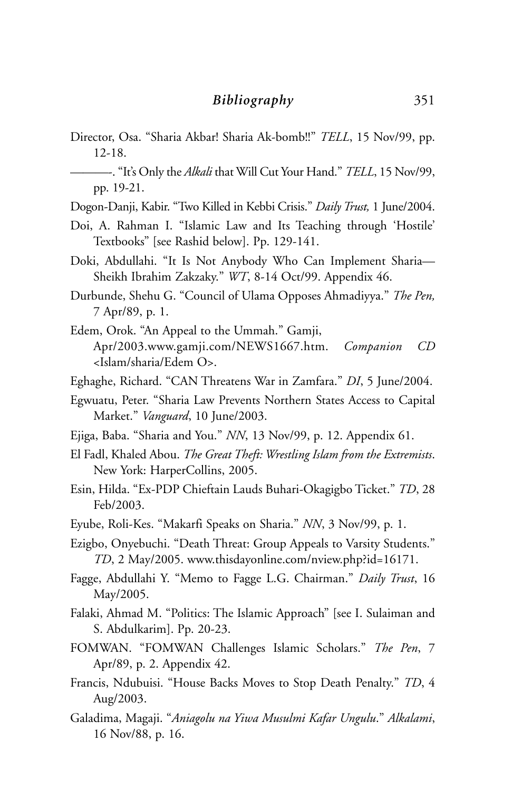- Director, Osa. "Sharia Akbar! Sharia Ak-bomb!!" *TELL*, 15 Nov/99, pp. 12-18.
- ———-. "It's Only the *Alkali* that Will Cut Your Hand." *TELL*, 15 Nov/99, pp. 19-21.
- Dogon-Danji, Kabir. "Two Killed in Kebbi Crisis." *Daily Trust,* 1 June/2004.
- Doi, A. Rahman I. "Islamic Law and Its Teaching through 'Hostile' Textbooks" [see Rashid below]. Pp. 129-141.
- Doki, Abdullahi. "It Is Not Anybody Who Can Implement Sharia— Sheikh Ibrahim Zakzaky." *WT*, 8-14 Oct/99. Appendix 46.
- Durbunde, Shehu G. "Council of Ulama Opposes Ahmadiyya." *The Pen,* 7 Apr/89, p. 1.
- Edem, Orok. "An Appeal to the Ummah." Gamji, Apr/2003.www.gamji.com/NEWS1667.htm. *Companion CD* <Islam/sharia/Edem O>.
- Eghaghe, Richard. "CAN Threatens War in Zamfara." *DI*, 5 June/2004.
- Egwuatu, Peter. "Sharia Law Prevents Northern States Access to Capital Market." *Vanguard*, 10 June/2003.
- Ejiga, Baba. "Sharia and You." *NN*, 13 Nov/99, p. 12. Appendix 61.
- El Fadl, Khaled Abou. *The Great Theft: Wrestling Islam from the Extremists*. New York: HarperCollins, 2005.
- Esin, Hilda. "Ex-PDP Chieftain Lauds Buhari-Okagigbo Ticket." *TD*, 28 Feb/2003.
- Eyube, Roli-Kes. "Makarfi Speaks on Sharia." *NN*, 3 Nov/99, p. 1.
- Ezigbo, Onyebuchi. "Death Threat: Group Appeals to Varsity Students." *TD*, 2 May/2005. www.thisdayonline.com/nview.php?id=16171.
- Fagge, Abdullahi Y. "Memo to Fagge L.G. Chairman." *Daily Trust*, 16 May/2005.
- Falaki, Ahmad M. "Politics: The Islamic Approach" [see I. Sulaiman and S. Abdulkarim]. Pp. 20-23.
- FOMWAN. "FOMWAN Challenges Islamic Scholars." *The Pen*, 7 Apr/89, p. 2. Appendix 42.
- Francis, Ndubuisi. "House Backs Moves to Stop Death Penalty." *TD*, 4 Aug/2003.
- Galadima, Magaji. "*Aniagolu na Yiwa Musulmi Kafar Ungulu*." *Alkalami*, 16 Nov/88, p. 16.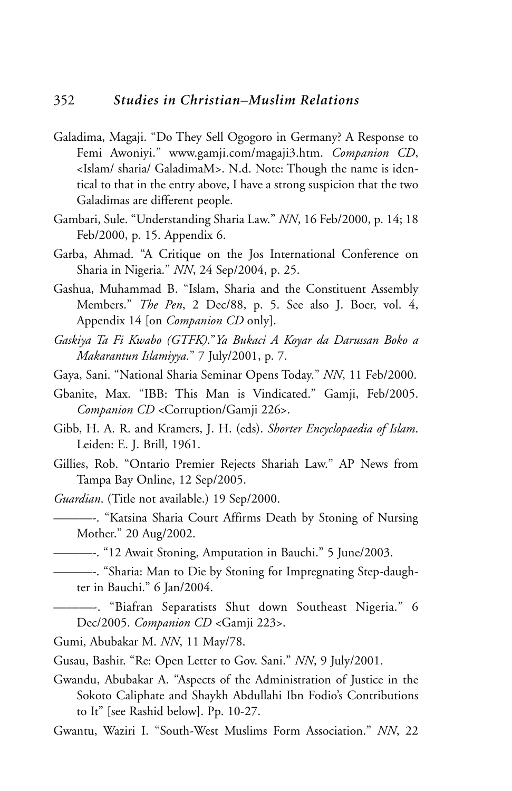- Galadima, Magaji. "Do They Sell Ogogoro in Germany? A Response to Femi Awoniyi." www.gamji.com/magaji3.htm. *Companion CD*, <Islam/ sharia/ GaladimaM>. N.d. Note: Though the name is identical to that in the entry above, I have a strong suspicion that the two Galadimas are different people.
- Gambari, Sule. "Understanding Sharia Law." *NN*, 16 Feb/2000, p. 14; 18 Feb/2000, p. 15. Appendix 6.
- Garba, Ahmad. "A Critique on the Jos International Conference on Sharia in Nigeria." *NN*, 24 Sep/2004, p. 25.
- Gashua, Muhammad B. "Islam, Sharia and the Constituent Assembly Members." *The Pen*, 2 Dec/88, p. 5. See also J. Boer, vol. 4, Appendix 14 [on *Companion CD* only].
- *Gaskiya Ta Fi Kwabo (GTFK)*."*Ya Bukaci A Koyar da Darussan Boko a Makarantun Islamiyya.*" 7 July/2001, p. 7.
- Gaya, Sani. "National Sharia Seminar Opens Today." *NN*, 11 Feb/2000.
- Gbanite, Max. "IBB: This Man is Vindicated." Gamji, Feb/2005. *Companion CD* <Corruption/Gamji 226>.
- Gibb, H. A. R. and Kramers, J. H. (eds). *Shorter Encyclopaedia of Islam*. Leiden: E. J. Brill, 1961.
- Gillies, Rob. "Ontario Premier Rejects Shariah Law." AP News from Tampa Bay Online, 12 Sep/2005.
- *Guardian*. (Title not available.) 19 Sep/2000.
	- ———-. "Katsina Sharia Court Affirms Death by Stoning of Nursing Mother." 20 Aug/2002.
- ———-. "12 Await Stoning, Amputation in Bauchi." 5 June/2003.
- ———-. "Sharia: Man to Die by Stoning for Impregnating Step-daughter in Bauchi." 6 Jan/2004.
	- ———-. "Biafran Separatists Shut down Southeast Nigeria." 6 Dec/2005. *Companion CD* <Gamji 223>.
- Gumi, Abubakar M. *NN*, 11 May/78.
- Gusau, Bashir. "Re: Open Letter to Gov. Sani." *NN*, 9 July/2001.
- Gwandu, Abubakar A. "Aspects of the Administration of Justice in the Sokoto Caliphate and Shaykh Abdullahi Ibn Fodio's Contributions to It" [see Rashid below]. Pp. 10-27.
- Gwantu, Waziri I. "South-West Muslims Form Association." *NN*, 22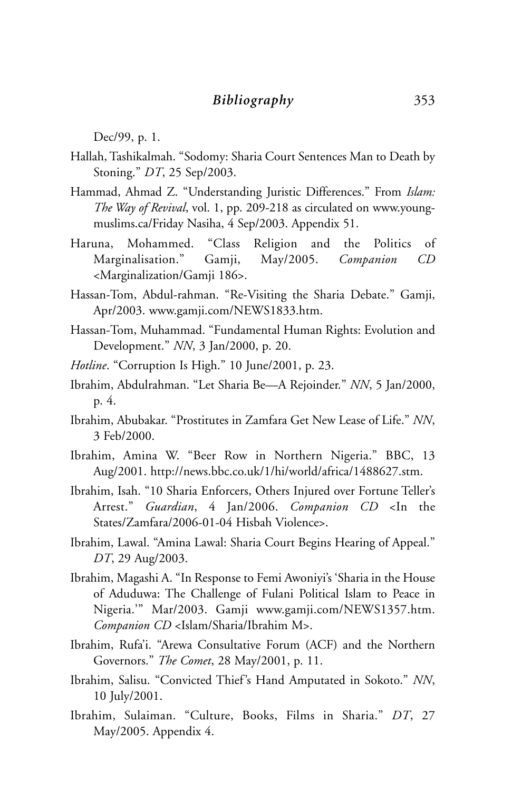Dec/99, p. 1.

- Hallah, Tashikalmah. "Sodomy: Sharia Court Sentences Man to Death by Stoning." *DT*, 25 Sep/2003.
- Hammad, Ahmad Z. "Understanding Juristic Differences." From *Islam: The Way of Revival*, vol. 1, pp. 209-218 as circulated on www.youngmuslims.ca/Friday Nasiha, 4 Sep/2003. Appendix 51.
- Haruna, Mohammed. "Class Religion and the Politics of Marginalisation." Gamji, May/2005. *Companion CD* <Marginalization/Gamji 186>.
- Hassan-Tom, Abdul-rahman. "Re-Visiting the Sharia Debate." Gamji, Apr/2003. www.gamji.com/NEWS1833.htm.
- Hassan-Tom, Muhammad. "Fundamental Human Rights: Evolution and Development." *NN*, 3 Jan/2000, p. 20.
- *Hotline*. "Corruption Is High." 10 June/2001, p. 23.
- Ibrahim, Abdulrahman. "Let Sharia Be—A Rejoinder." *NN*, 5 Jan/2000, p. 4.
- Ibrahim, Abubakar. "Prostitutes in Zamfara Get New Lease of Life." *NN*, 3 Feb/2000.
- Ibrahim, Amina W. "Beer Row in Northern Nigeria." BBC, 13 Aug/2001. http://news.bbc.co.uk/1/hi/world/africa/1488627.stm.
- Ibrahim, Isah. "10 Sharia Enforcers, Others Injured over Fortune Teller's Arrest." *Guardian*, 4 Jan/2006. *Companion CD* <In the States/Zamfara/2006-01-04 Hisbah Violence>.
- Ibrahim, Lawal. "Amina Lawal: Sharia Court Begins Hearing of Appeal." *DT*, 29 Aug/2003.
- Ibrahim, Magashi A. "In Response to Femi Awoniyi's 'Sharia in the House of Aduduwa: The Challenge of Fulani Political Islam to Peace in Nigeria.'" Mar/2003. Gamji www.gamji.com/NEWS1357.htm. *Companion CD* <Islam/Sharia/Ibrahim M>.
- Ibrahim, Rufa'i. "Arewa Consultative Forum (ACF) and the Northern Governors." *The Comet*, 28 May/2001, p. 11.
- Ibrahim, Salisu. "Convicted Thief's Hand Amputated in Sokoto." *NN*, 10 July/2001.
- Ibrahim, Sulaiman. "Culture, Books, Films in Sharia." *DT*, 27 May/2005. Appendix 4.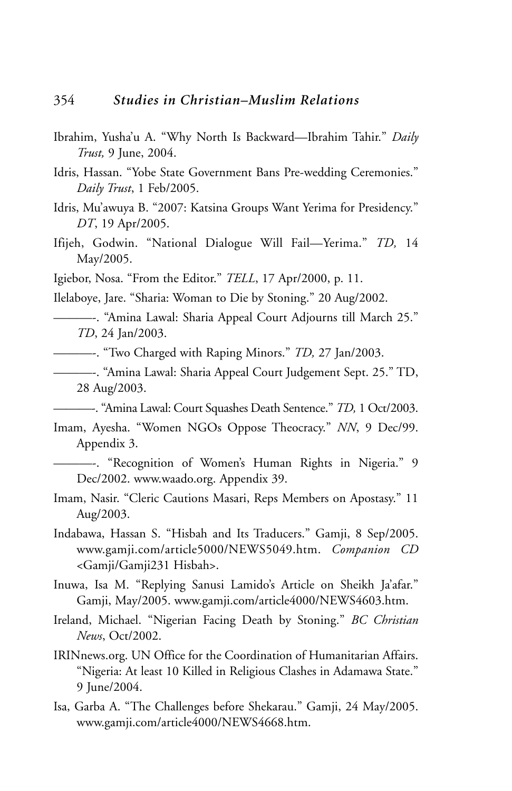- Ibrahim, Yusha'u A. "Why North Is Backward—Ibrahim Tahir." *Daily Trust,* 9 June, 2004.
- Idris, Hassan. "Yobe State Government Bans Pre-wedding Ceremonies." *Daily Trust*, 1 Feb/2005.
- Idris, Mu'awuya B. "2007: Katsina Groups Want Yerima for Presidency." *DT*, 19 Apr/2005.
- Ifijeh, Godwin. "National Dialogue Will Fail—Yerima." *TD,* 14 May/2005.
- Igiebor, Nosa. "From the Editor." *TELL*, 17 Apr/2000, p. 11.

Ilelaboye, Jare. "Sharia: Woman to Die by Stoning." 20 Aug/2002.

- ———-. "Amina Lawal: Sharia Appeal Court Adjourns till March 25." *TD*, 24 Jan/2003.
- ———-. "Two Charged with Raping Minors." *TD,* 27 Jan/2003.
- ———-. "Amina Lawal: Sharia Appeal Court Judgement Sept. 25." TD, 28 Aug/2003.

———-. "Amina Lawal: Court Squashes Death Sentence." *TD,* 1 Oct/2003.

- Imam, Ayesha. "Women NGOs Oppose Theocracy." *NN*, 9 Dec/99. Appendix 3.
- ———-. "Recognition of Women's Human Rights in Nigeria." 9 Dec/2002. www.waado.org. Appendix 39.
- Imam, Nasir. "Cleric Cautions Masari, Reps Members on Apostasy." 11 Aug/2003.
- Indabawa, Hassan S. "Hisbah and Its Traducers." Gamji, 8 Sep/2005. www.gamji.com/article5000/NEWS5049.htm. *Companion CD* <Gamji/Gamji231 Hisbah>.
- Inuwa, Isa M. "Replying Sanusi Lamido's Article on Sheikh Ja'afar." Gamji, May/2005. www.gamji.com/article4000/NEWS4603.htm.
- Ireland, Michael. "Nigerian Facing Death by Stoning." *BC Christian News*, Oct/2002.
- IRINnews.org. UN Office for the Coordination of Humanitarian Affairs. "Nigeria: At least 10 Killed in Religious Clashes in Adamawa State." 9 June/2004.
- Isa, Garba A. "The Challenges before Shekarau." Gamji, 24 May/2005. www.gamji.com/article4000/NEWS4668.htm.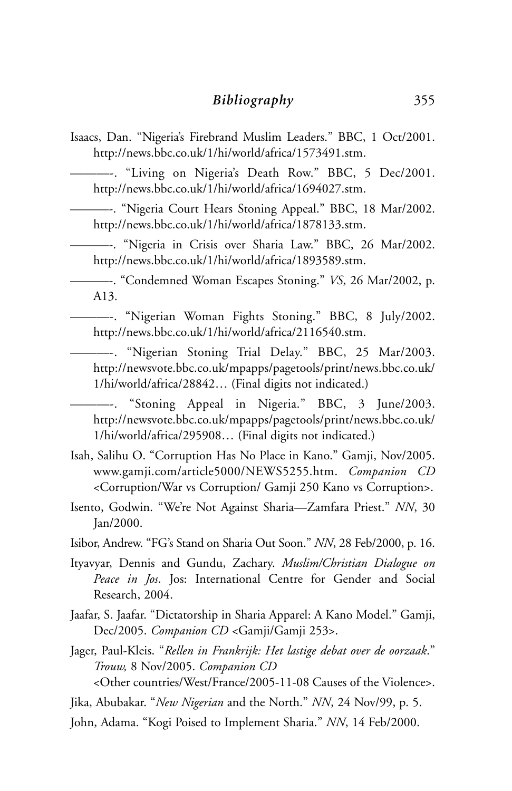Isaacs, Dan. "Nigeria's Firebrand Muslim Leaders." BBC, 1 Oct/2001. http://news.bbc.co.uk/1/hi/world/africa/1573491.stm.

———-. "Living on Nigeria's Death Row." BBC, 5 Dec/2001. http://news.bbc.co.uk/1/hi/world/africa/1694027.stm.

———-. "Nigeria Court Hears Stoning Appeal." BBC, 18 Mar/2002. http://news.bbc.co.uk/1/hi/world/africa/1878133.stm.

———-. "Nigeria in Crisis over Sharia Law." BBC, 26 Mar/2002. http://news.bbc.co.uk/1/hi/world/africa/1893589.stm.

———-. "Condemned Woman Escapes Stoning." *VS*, 26 Mar/2002, p. A13.

———-. "Nigerian Woman Fights Stoning." BBC, 8 July/2002. http://news.bbc.co.uk/1/hi/world/africa/2116540.stm.

———-. "Nigerian Stoning Trial Delay." BBC, 25 Mar/2003. http://newsvote.bbc.co.uk/mpapps/pagetools/print/news.bbc.co.uk/ 1/hi/world/africa/28842… (Final digits not indicated.)

"Stoning Appeal in Nigeria." BBC, 3 June/2003. http://newsvote.bbc.co.uk/mpapps/pagetools/print/news.bbc.co.uk/ 1/hi/world/africa/295908… (Final digits not indicated.)

- Isah, Salihu O. "Corruption Has No Place in Kano." Gamji, Nov/2005. www.gamji.com/article5000/NEWS5255.htm. *Companion CD* <Corruption/War vs Corruption/ Gamji 250 Kano vs Corruption>.
- Isento, Godwin. "We're Not Against Sharia—Zamfara Priest." *NN*, 30 Jan/2000.
- Isibor, Andrew. "FG's Stand on Sharia Out Soon." *NN*, 28 Feb/2000, p. 16.
- Ityavyar, Dennis and Gundu, Zachary. *Muslim/Christian Dialogue on Peace in Jos*. Jos: International Centre for Gender and Social Research, 2004.
- Jaafar, S. Jaafar. "Dictatorship in Sharia Apparel: A Kano Model." Gamji, Dec/2005. *Companion CD* <Gamji/Gamji 253>.
- Jager, Paul-Kleis. "*Rellen in Frankrijk: Het lastige debat over de oorzaak*." *Trouw,* 8 Nov/2005. *Companion CD* <Other countries/West/France/2005-11-08 Causes of the Violence>.

Jika, Abubakar. "*New Nigerian* and the North." *NN*, 24 Nov/99, p. 5.

John, Adama. "Kogi Poised to Implement Sharia." *NN*, 14 Feb/2000.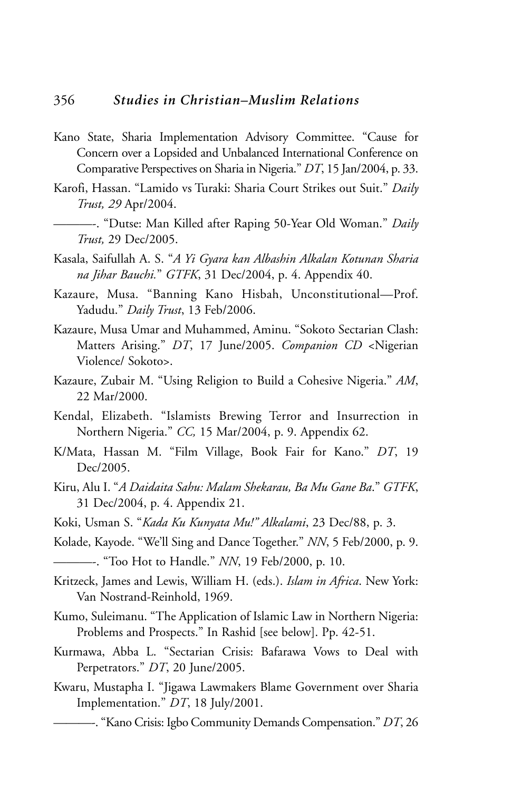- Kano State, Sharia Implementation Advisory Committee. "Cause for Concern over a Lopsided and Unbalanced International Conference on Comparative Perspectives on Sharia in Nigeria." *DT*, 15 Jan/2004, p. 33.
- Karofi, Hassan. "Lamido vs Turaki: Sharia Court Strikes out Suit." *Daily Trust, 29* Apr/2004.
- ———-. "Dutse: Man Killed after Raping 50-Year Old Woman." *Daily Trust,* 29 Dec/2005.
- Kasala, Saifullah A. S. "*A Yi Gyara kan Albashin Alkalan Kotunan Sharia na Jihar Bauchi.*" *GTFK*, 31 Dec/2004, p. 4. Appendix 40.
- Kazaure, Musa. "Banning Kano Hisbah, Unconstitutional—Prof. Yadudu." *Daily Trust*, 13 Feb/2006.
- Kazaure, Musa Umar and Muhammed, Aminu. "Sokoto Sectarian Clash: Matters Arising." *DT*, 17 June/2005. *Companion CD* <Nigerian Violence/ Sokoto>.
- Kazaure, Zubair M. "Using Religion to Build a Cohesive Nigeria." *AM*, 22 Mar/2000.
- Kendal, Elizabeth. "Islamists Brewing Terror and Insurrection in Northern Nigeria." *CC,* 15 Mar/2004, p. 9. Appendix 62.
- K/Mata, Hassan M. "Film Village, Book Fair for Kano." *DT*, 19 Dec/2005.
- Kiru, Alu I. "*A Daidaita Sahu: Malam Shekarau, Ba Mu Gane Ba*." *GTFK*, 31 Dec/2004, p. 4. Appendix 21.
- Koki, Usman S. "*Kada Ku Kunyata Mu!" Alkalami*, 23 Dec/88, p. 3.
- Kolade, Kayode. "We'll Sing and Dance Together." *NN*, 5 Feb/2000, p. 9. ———-. "Too Hot to Handle." *NN*, 19 Feb/2000, p. 10.
- Kritzeck, James and Lewis, William H. (eds.). *Islam in Africa*. New York: Van Nostrand-Reinhold, 1969.
- Kumo, Suleimanu. "The Application of Islamic Law in Northern Nigeria: Problems and Prospects." In Rashid [see below]. Pp. 42-51.
- Kurmawa, Abba L. "Sectarian Crisis: Bafarawa Vows to Deal with Perpetrators." *DT*, 20 June/2005.
- Kwaru, Mustapha I. "Jigawa Lawmakers Blame Government over Sharia Implementation." *DT*, 18 July/2001.
	- ———-. "Kano Crisis: Igbo Community Demands Compensation." *DT*, 26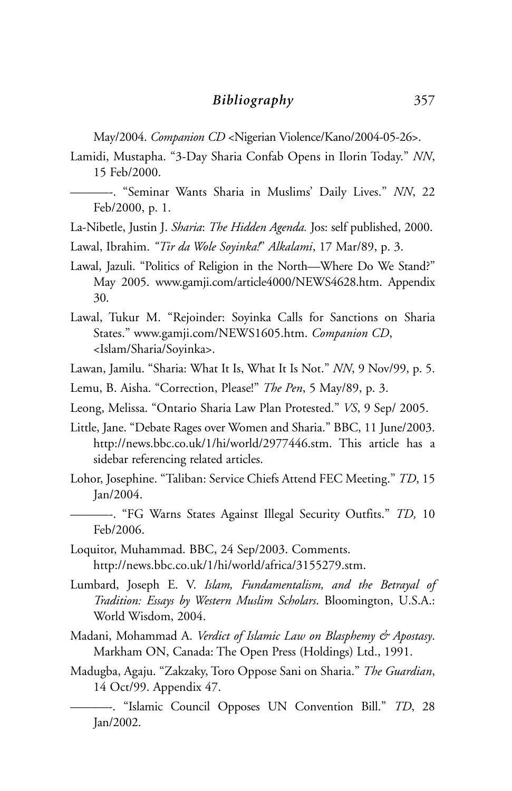May/2004. *Companion CD* <Nigerian Violence/Kano/2004-05-26>.

- Lamidi, Mustapha. "3-Day Sharia Confab Opens in Ilorin Today." *NN*, 15 Feb/2000.
	- ———-. "Seminar Wants Sharia in Muslims' Daily Lives." *NN*, 22 Feb/2000, p. 1.
- La-Nibetle, Justin J. *Sharia*: *The Hidden Agenda.* Jos: self published, 2000.
- Lawal, Ibrahim. *"Tir da Wole Soyinka!*" *Alkalami*, 17 Mar/89, p. 3.
- Lawal, Jazuli. "Politics of Religion in the North—Where Do We Stand?" May 2005. www.gamji.com/article4000/NEWS4628.htm. Appendix 30.
- Lawal, Tukur M. "Rejoinder: Soyinka Calls for Sanctions on Sharia States." www.gamji.com/NEWS1605.htm. *Companion CD*, <Islam/Sharia/Soyinka>.
- Lawan, Jamilu. "Sharia: What It Is, What It Is Not." *NN*, 9 Nov/99, p. 5.
- Lemu, B. Aisha. "Correction, Please!" *The Pen*, 5 May/89, p. 3.
- Leong, Melissa. "Ontario Sharia Law Plan Protested." *VS*, 9 Sep/ 2005.
- Little, Jane. "Debate Rages over Women and Sharia." BBC, 11 June/2003. http://news.bbc.co.uk/1/hi/world/2977446.stm. This article has a sidebar referencing related articles.
- Lohor, Josephine. "Taliban: Service Chiefs Attend FEC Meeting." *TD*, 15 Jan/2004.
	- ———-. "FG Warns States Against Illegal Security Outfits." *TD,* 10 Feb/2006.
- Loquitor, Muhammad. BBC, 24 Sep/2003. Comments. http://news.bbc.co.uk/1/hi/world/africa/3155279.stm.
- Lumbard, Joseph E. V. *Islam, Fundamentalism, and the Betrayal of Tradition: Essays by Western Muslim Scholars*. Bloomington, U.S.A.: World Wisdom, 2004.
- Madani, Mohammad A. *Verdict of Islamic Law on Blasphemy & Apostasy*. Markham ON, Canada: The Open Press (Holdings) Ltd., 1991.
- Madugba, Agaju. "Zakzaky, Toro Oppose Sani on Sharia." *The Guardian*, 14 Oct/99. Appendix 47.
	- ———-. "Islamic Council Opposes UN Convention Bill." *TD*, 28 Jan/2002.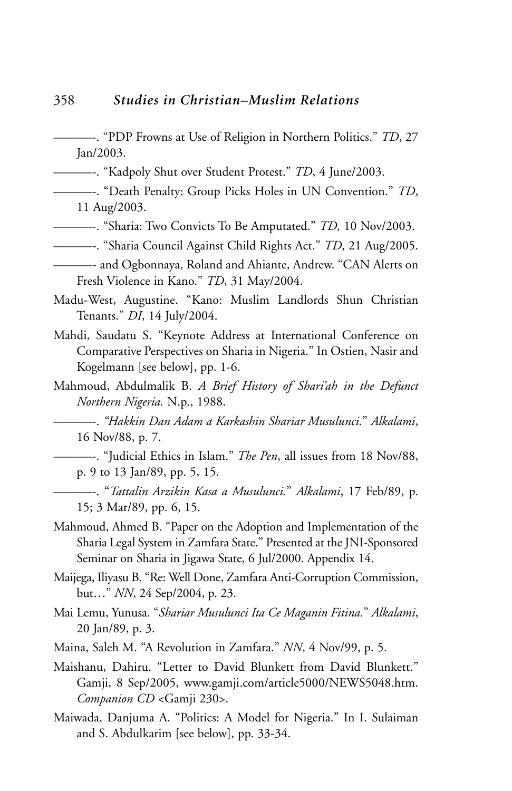- ———-. "PDP Frowns at Use of Religion in Northern Politics." *TD*, 27 Jan/2003.
- ———-. "Kadpoly Shut over Student Protest." *TD*, 4 June/2003.
- ———-. "Death Penalty: Group Picks Holes in UN Convention." *TD*, 11 Aug/2003.
- ———-. "Sharia: Two Convicts To Be Amputated." *TD,* 10 Nov/2003.
- ———-. "Sharia Council Against Child Rights Act." *TD*, 21 Aug/2005.
- ———- and Ogbonnaya, Roland and Ahiante, Andrew. "CAN Alerts on Fresh Violence in Kano." *TD*, 31 May/2004.
- Madu-West, Augustine. "Kano: Muslim Landlords Shun Christian Tenants." *DI*, 14 July/2004.
- Mahdi, Saudatu S. "Keynote Address at International Conference on Comparative Perspectives on Sharia in Nigeria." In Ostien, Nasir and Kogelmann [see below], pp. 1-6.
- Mahmoud, Abdulmalik B. *A Brief History of Shari'ah in the Defunct Northern Nigeria.* N.p., 1988.

———-. *"Hakkin Dan Adam a Karkashin Shariar Musulunci.*" *Alkalami*, 16 Nov/88, p. 7.

- ———-. "Judicial Ethics in Islam." *The Pen*, all issues from 18 Nov/88, p. 9 to 13 Jan/89, pp. 5, 15.
- ———-. "*Tattalin Arzikin Kasa a Musulunci.*" *Alkalami*, 17 Feb/89, p. 15; 3 Mar/89, pp. 6, 15.
- Mahmoud, Ahmed B. "Paper on the Adoption and Implementation of the Sharia Legal System in Zamfara State." Presented at the JNI-Sponsored Seminar on Sharia in Jigawa State, 6 Jul/2000. Appendix 14.
- Maijega, Iliyasu B. "Re: Well Done, Zamfara Anti-Corruption Commission, but…" *NN*, 24 Sep/2004, p. 23.
- Mai Lemu, Yunusa. "*Shariar Musulunci Ita Ce Maganin Fitina.*" *Alkalami*, 20 Jan/89, p. 3.
- Maina, Saleh M. "A Revolution in Zamfara." *NN*, 4 Nov/99, p. 5.
- Maishanu, Dahiru. "Letter to David Blunkett from David Blunkett." Gamji, 8 Sep/2005, www.gamji.com/article5000/NEWS5048.htm. *Companion CD* <Gamji 230>.
- Maiwada, Danjuma A. "Politics: A Model for Nigeria." In I. Sulaiman and S. Abdulkarim [see below], pp. 33-34.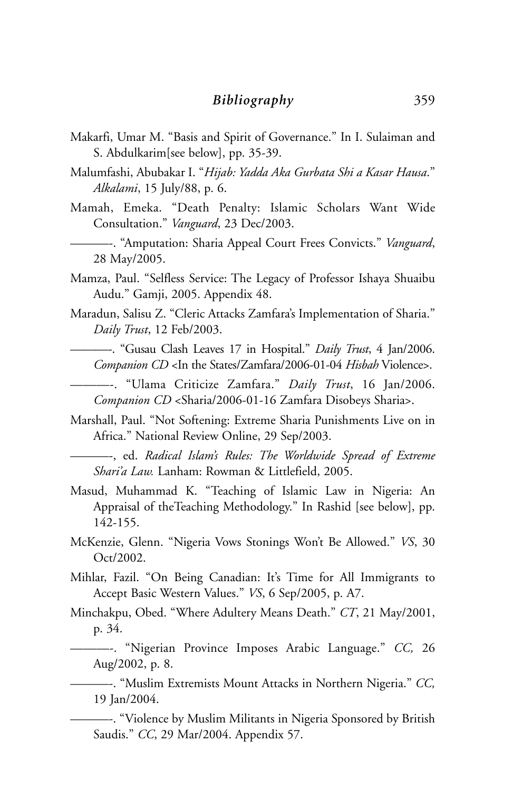- Makarfi, Umar M. "Basis and Spirit of Governance." In I. Sulaiman and S. Abdulkarim[see below], pp. 35-39.
- Malumfashi, Abubakar I. "*Hijab: Yadda Aka Gurbata Shi a Kasar Hausa*." *Alkalami*, 15 July/88, p. 6.
- Mamah, Emeka. "Death Penalty: Islamic Scholars Want Wide Consultation." *Vanguard*, 23 Dec/2003.
	- ———-. "Amputation: Sharia Appeal Court Frees Convicts." *Vanguard*, 28 May/2005.
- Mamza, Paul. "Selfless Service: The Legacy of Professor Ishaya Shuaibu Audu." Gamji, 2005. Appendix 48.
- Maradun, Salisu Z. "Cleric Attacks Zamfara's Implementation of Sharia." *Daily Trust*, 12 Feb/2003.
	- ———-. "Gusau Clash Leaves 17 in Hospital." *Daily Trust*, 4 Jan/2006. *Companion CD* <In the States/Zamfara/2006-01-04 *Hisbah* Violence>.
	- ———-. "Ulama Criticize Zamfara." *Daily Trust*, 16 Jan/2006. *Companion CD* <Sharia/2006-01-16 Zamfara Disobeys Sharia>.
- Marshall, Paul. "Not Softening: Extreme Sharia Punishments Live on in Africa." National Review Online, 29 Sep/2003.
	- ———-, ed. *Radical Islam's Rules: The Worldwide Spread of Extreme Shari'a Law.* Lanham: Rowman & Littlefield, 2005.
- Masud, Muhammad K. "Teaching of Islamic Law in Nigeria: An Appraisal of theTeaching Methodology." In Rashid [see below], pp. 142-155.
- McKenzie, Glenn. "Nigeria Vows Stonings Won't Be Allowed." *VS*, 30 Oct/2002.
- Mihlar, Fazil. "On Being Canadian: It's Time for All Immigrants to Accept Basic Western Values." *VS*, 6 Sep/2005, p. A7.
- Minchakpu, Obed. "Where Adultery Means Death." *CT*, 21 May/2001, p. 34.
- ———-. "Nigerian Province Imposes Arabic Language." *CC,* 26 Aug/2002, p. 8.
- ———-. "Muslim Extremists Mount Attacks in Northern Nigeria." *CC,* 19 Jan/2004.
	- ———-. "Violence by Muslim Militants in Nigeria Sponsored by British Saudis." *CC*, 29 Mar/2004. Appendix 57.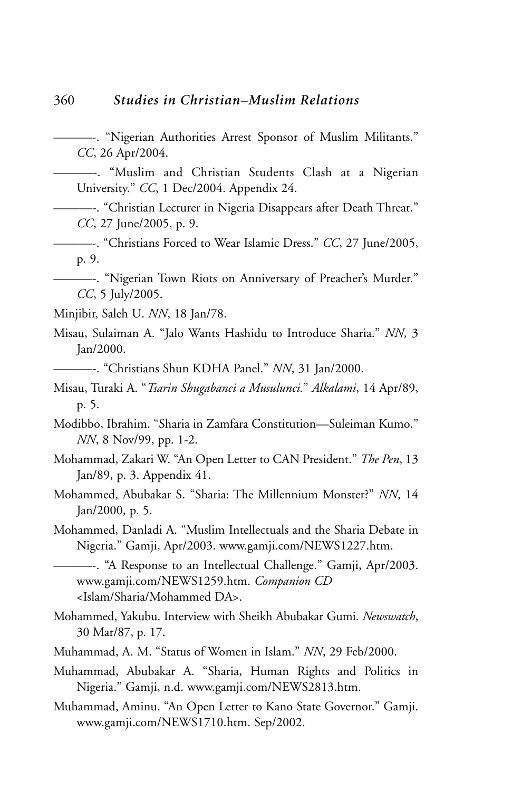———-. "Nigerian Authorities Arrest Sponsor of Muslim Militants." *CC*, 26 Apr/2004.

———-. "Muslim and Christian Students Clash at a Nigerian University." *CC*, 1 Dec/2004. Appendix 24.

———-. "Christian Lecturer in Nigeria Disappears after Death Threat." *CC*, 27 June/2005, p. 9.

———-. "Christians Forced to Wear Islamic Dress." *CC*, 27 June/2005, p. 9.

———-. "Nigerian Town Riots on Anniversary of Preacher's Murder." *CC*, 5 July/2005.

Minjibir, Saleh U. *NN*, 18 Jan/78.

Misau, Sulaiman A. "Jalo Wants Hashidu to Introduce Sharia." *NN,* 3 Jan/2000.

———-. "Christians Shun KDHA Panel." *NN*, 31 Jan/2000.

Misau, Turaki A. "*Tsarin Shugabanci a Musulunci.*" *Alkalami*, 14 Apr/89, p. 5.

Modibbo, Ibrahim. "Sharia in Zamfara Constitution—Suleiman Kumo." *NN*, 8 Nov/99, pp. 1-2.

- Mohammad, Zakari W. "An Open Letter to CAN President." *The Pen*, 13 Jan/89, p. 3. Appendix 41.
- Mohammed, Abubakar S. "Sharia: The Millennium Monster?" *NN*, 14 Jan/2000, p. 5.
- Mohammed, Danladi A. "Muslim Intellectuals and the Sharia Debate in Nigeria." Gamji, Apr/2003. www.gamji.com/NEWS1227.htm.

———-. "A Response to an Intellectual Challenge." Gamji, Apr/2003. www.gamji.com/NEWS1259.htm. *Companion CD* <Islam/Sharia/Mohammed DA>.

- Mohammed, Yakubu. Interview with Sheikh Abubakar Gumi. *Newswatch*, 30 Mar/87, p. 17.
- Muhammad, A. M. "Status of Women in Islam." *NN*, 29 Feb/2000.
- Muhammad, Abubakar A. "Sharia, Human Rights and Politics in Nigeria." Gamji, n.d. www.gamji.com/NEWS2813.htm.
- Muhammad, Aminu. "An Open Letter to Kano State Governor." Gamji. www.gamji.com/NEWS1710.htm. Sep/2002.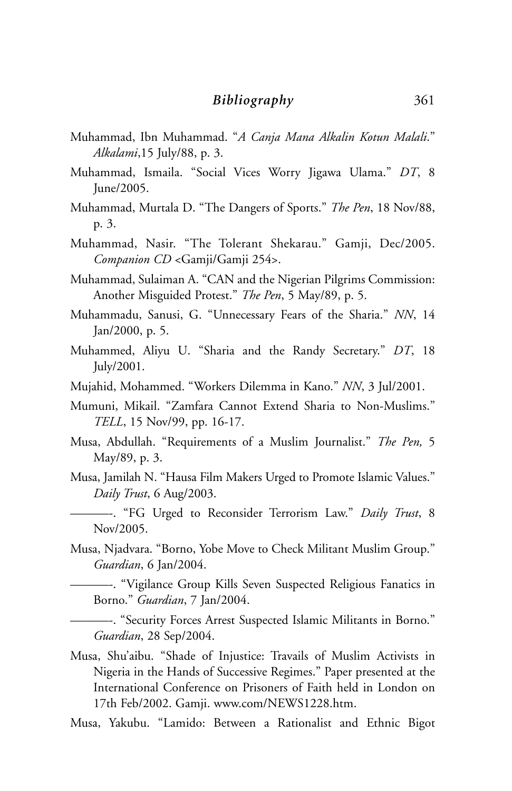- Muhammad, Ibn Muhammad. "*A Canja Mana Alkalin Kotun Malali*." *Alkalami*,15 July/88, p. 3.
- Muhammad, Ismaila. "Social Vices Worry Jigawa Ulama." *DT*, 8 June/2005.
- Muhammad, Murtala D. "The Dangers of Sports." *The Pen*, 18 Nov/88, p. 3.
- Muhammad, Nasir. "The Tolerant Shekarau." Gamji, Dec/2005. *Companion CD* <Gamji/Gamji 254>.
- Muhammad, Sulaiman A. "CAN and the Nigerian Pilgrims Commission: Another Misguided Protest." *The Pen*, 5 May/89, p. 5.
- Muhammadu, Sanusi, G. "Unnecessary Fears of the Sharia." *NN*, 14 Jan/2000, p. 5.
- Muhammed, Aliyu U. "Sharia and the Randy Secretary." *DT*, 18 July/2001.
- Mujahid, Mohammed. "Workers Dilemma in Kano." *NN*, 3 Jul/2001.
- Mumuni, Mikail. "Zamfara Cannot Extend Sharia to Non-Muslims." *TELL*, 15 Nov/99, pp. 16-17.
- Musa, Abdullah. "Requirements of a Muslim Journalist." *The Pen,* 5 May/89, p. 3.
- Musa, Jamilah N. "Hausa Film Makers Urged to Promote Islamic Values." *Daily Trust*, 6 Aug/2003.
- ———-. "FG Urged to Reconsider Terrorism Law." *Daily Trust*, 8 Nov/2005.
- Musa, Njadvara. "Borno, Yobe Move to Check Militant Muslim Group." *Guardian*, 6 Jan/2004.

———-. "Vigilance Group Kills Seven Suspected Religious Fanatics in Borno." *Guardian*, 7 Jan/2004.

———-. "Security Forces Arrest Suspected Islamic Militants in Borno." *Guardian*, 28 Sep/2004.

- Musa, Shu'aibu. "Shade of Injustice: Travails of Muslim Activists in Nigeria in the Hands of Successive Regimes." Paper presented at the International Conference on Prisoners of Faith held in London on 17th Feb/2002. Gamji. www.com/NEWS1228.htm.
- Musa, Yakubu. "Lamido: Between a Rationalist and Ethnic Bigot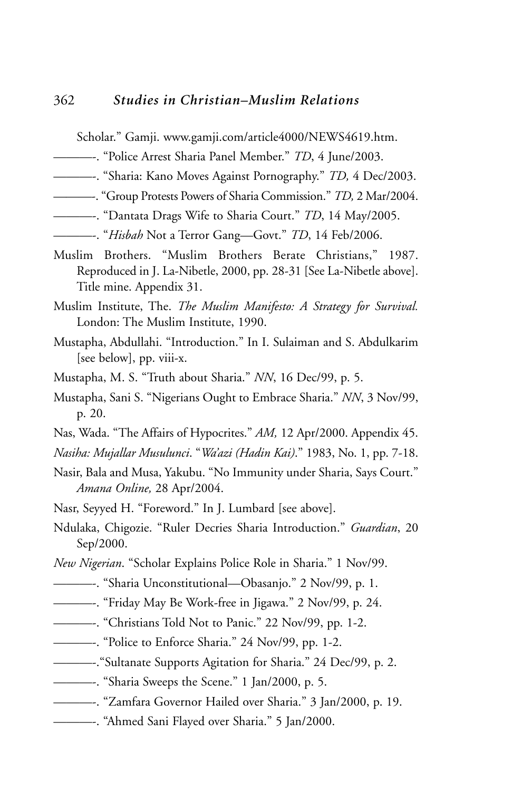Scholar." Gamji. www.gamji.com/article4000/NEWS4619.htm.

- ———-. "Police Arrest Sharia Panel Member." *TD*, 4 June/2003.
- ———-. "Sharia: Kano Moves Against Pornography." *TD,* 4 Dec/2003.
- ———-. "Group Protests Powers of Sharia Commission." *TD,* 2 Mar/2004.
- ———-. "Dantata Drags Wife to Sharia Court." *TD*, 14 May/2005.
- ———-. "*Hisbah* Not a Terror Gang—Govt." *TD*, 14 Feb/2006.
- Muslim Brothers. "Muslim Brothers Berate Christians," 1987. Reproduced in J. La-Nibetle, 2000, pp. 28-31 [See La-Nibetle above]. Title mine. Appendix 31.
- Muslim Institute, The. *The Muslim Manifesto: A Strategy for Survival.* London: The Muslim Institute, 1990.
- Mustapha, Abdullahi. "Introduction." In I. Sulaiman and S. Abdulkarim [see below], pp. viii-x.
- Mustapha, M. S. "Truth about Sharia." *NN*, 16 Dec/99, p. 5.
- Mustapha, Sani S. "Nigerians Ought to Embrace Sharia." *NN*, 3 Nov/99, p. 20.
- Nas, Wada. "The Affairs of Hypocrites." *AM,* 12 Apr/2000. Appendix 45.
- *Nasiha: Mujallar Musulunci*. "*Wa'azi (Hadin Kai)*." 1983, No. 1, pp. 7-18.
- Nasir, Bala and Musa, Yakubu. "No Immunity under Sharia, Says Court." *Amana Online,* 28 Apr/2004.
- Nasr, Seyyed H. "Foreword." In J. Lumbard [see above].
- Ndulaka, Chigozie. "Ruler Decries Sharia Introduction." *Guardian*, 20 Sep/2000.
- *New Nigerian*. "Scholar Explains Police Role in Sharia." 1 Nov/99.
- ———-. "Sharia Unconstitutional—Obasanjo." 2 Nov/99, p. 1.
- ———-. "Friday May Be Work-free in Jigawa." 2 Nov/99, p. 24.
- ———-. "Christians Told Not to Panic." 22 Nov/99, pp. 1-2.
- ———-. "Police to Enforce Sharia." 24 Nov/99, pp. 1-2.
- ———-."Sultanate Supports Agitation for Sharia." 24 Dec/99, p. 2.
- ———-. "Sharia Sweeps the Scene." 1 Jan/2000, p. 5.
- ———-. "Zamfara Governor Hailed over Sharia." 3 Jan/2000, p. 19.
- ———-. "Ahmed Sani Flayed over Sharia." 5 Jan/2000.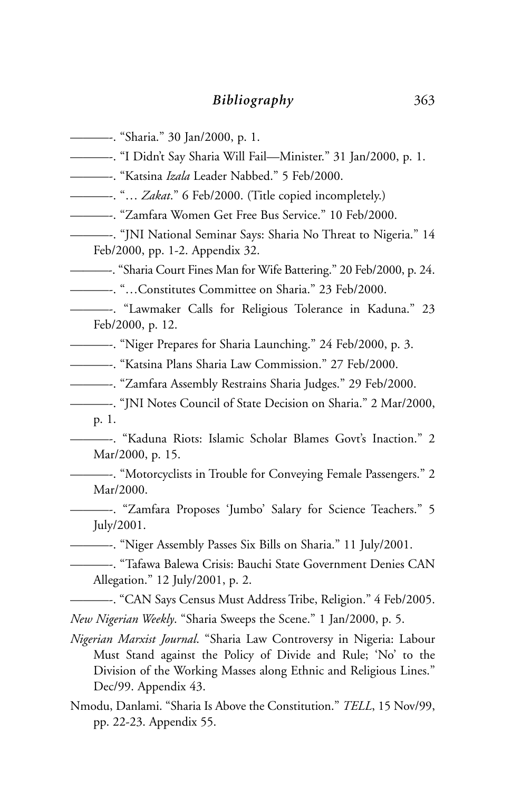- ———-. "Sharia." 30 Jan/2000, p. 1.
- ———-. "I Didn't Say Sharia Will Fail—Minister." 31 Jan/2000, p. 1.
- ———-. "Katsina *Izala* Leader Nabbed." 5 Feb/2000.
- ———-. "… *Zakat*." 6 Feb/2000. (Title copied incompletely.)
- ———-. "Zamfara Women Get Free Bus Service." 10 Feb/2000.
- ———-. "JNI National Seminar Says: Sharia No Threat to Nigeria." 14 Feb/2000, pp. 1-2. Appendix 32.
- ———-. "Sharia Court Fines Man for Wife Battering." 20 Feb/2000, p. 24.
- ———-. "…Constitutes Committee on Sharia." 23 Feb/2000.
- ———-. "Lawmaker Calls for Religious Tolerance in Kaduna." 23 Feb/2000, p. 12.
- ———-. "Niger Prepares for Sharia Launching." 24 Feb/2000, p. 3.
- ———-. "Katsina Plans Sharia Law Commission." 27 Feb/2000.
- ———-. "Zamfara Assembly Restrains Sharia Judges." 29 Feb/2000.
- ———-. "JNI Notes Council of State Decision on Sharia." 2 Mar/2000, p. 1.
- ———-. "Kaduna Riots: Islamic Scholar Blames Govt's Inaction." 2 Mar/2000, p. 15.
	- ———-. "Motorcyclists in Trouble for Conveying Female Passengers." 2 Mar/2000.
- ———-. "Zamfara Proposes 'Jumbo' Salary for Science Teachers." 5 July/2001.
- ———-. "Niger Assembly Passes Six Bills on Sharia." 11 July/2001.
- ———-. "Tafawa Balewa Crisis: Bauchi State Government Denies CAN Allegation." 12 July/2001, p. 2.
- ———-. "CAN Says Census Must Address Tribe, Religion." 4 Feb/2005. *New Nigerian Weekly*. "Sharia Sweeps the Scene." 1 Jan/2000, p. 5.
- *Nigerian Marxist Journal*. "Sharia Law Controversy in Nigeria: Labour Must Stand against the Policy of Divide and Rule; 'No' to the Division of the Working Masses along Ethnic and Religious Lines." Dec/99. Appendix 43.
- Nmodu, Danlami. "Sharia Is Above the Constitution." *TELL*, 15 Nov/99, pp. 22-23. Appendix 55.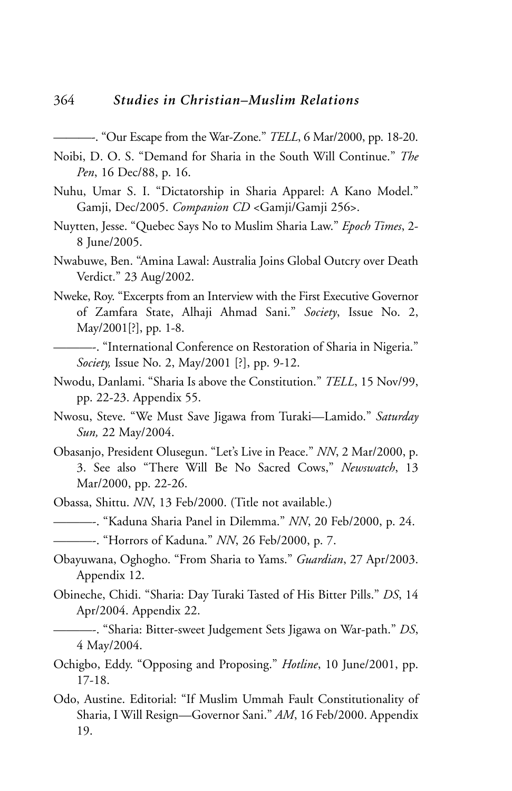- ———-. "Our Escape from the War-Zone." *TELL*, 6 Mar/2000, pp. 18-20.
- Noibi, D. O. S. "Demand for Sharia in the South Will Continue." *The Pen*, 16 Dec/88, p. 16.
- Nuhu, Umar S. I. "Dictatorship in Sharia Apparel: A Kano Model." Gamji, Dec/2005. *Companion CD* <Gamji/Gamji 256>.
- Nuytten, Jesse. "Quebec Says No to Muslim Sharia Law." *Epoch Times*, 2- 8 June/2005.
- Nwabuwe, Ben. "Amina Lawal: Australia Joins Global Outcry over Death Verdict." 23 Aug/2002.
- Nweke, Roy. "Excerpts from an Interview with the First Executive Governor of Zamfara State, Alhaji Ahmad Sani." *Society*, Issue No. 2, May/2001[?], pp. 1-8.
- ———-. "International Conference on Restoration of Sharia in Nigeria." *Society,* Issue No. 2, May/2001 [?], pp. 9-12.
- Nwodu, Danlami. "Sharia Is above the Constitution." *TELL*, 15 Nov/99, pp. 22-23. Appendix 55.
- Nwosu, Steve. "We Must Save Jigawa from Turaki—Lamido." *Saturday Sun,* 22 May/2004.
- Obasanjo, President Olusegun. "Let's Live in Peace." *NN*, 2 Mar/2000, p. 3. See also "There Will Be No Sacred Cows," *Newswatch*, 13 Mar/2000, pp. 22-26.
- Obassa, Shittu. *NN*, 13 Feb/2000. (Title not available.)
- ———-. "Kaduna Sharia Panel in Dilemma." *NN*, 20 Feb/2000, p. 24.
- ———-. "Horrors of Kaduna." *NN*, 26 Feb/2000, p. 7.
- Obayuwana, Oghogho. "From Sharia to Yams." *Guardian*, 27 Apr/2003. Appendix 12.
- Obineche, Chidi. "Sharia: Day Turaki Tasted of His Bitter Pills." *DS*, 14 Apr/2004. Appendix 22.

———-. "Sharia: Bitter-sweet Judgement Sets Jigawa on War-path." *DS*, 4 May/2004.

- Ochigbo, Eddy. "Opposing and Proposing." *Hotline*, 10 June/2001, pp. 17-18.
- Odo, Austine. Editorial: "If Muslim Ummah Fault Constitutionality of Sharia, I Will Resign—Governor Sani." *AM*, 16 Feb/2000. Appendix 19.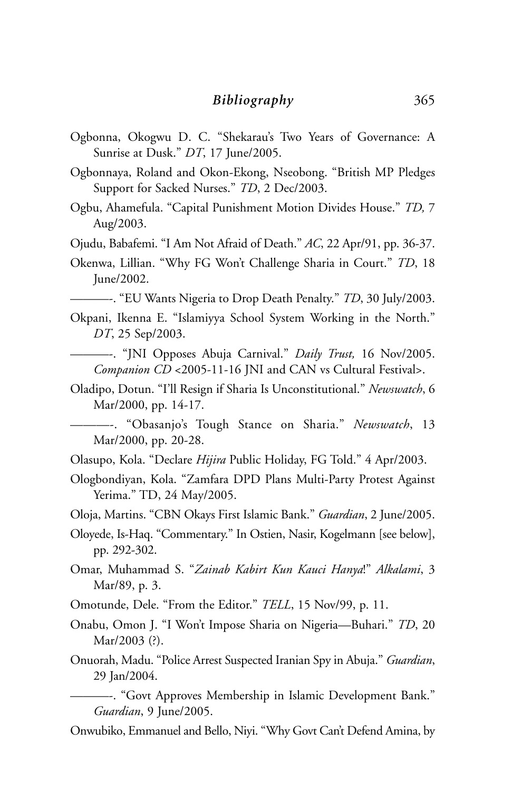- Ogbonna, Okogwu D. C. "Shekarau's Two Years of Governance: A Sunrise at Dusk." *DT*, 17 June/2005.
- Ogbonnaya, Roland and Okon-Ekong, Nseobong. "British MP Pledges Support for Sacked Nurses." *TD*, 2 Dec/2003.
- Ogbu, Ahamefula. "Capital Punishment Motion Divides House." *TD,* 7 Aug/2003.
- Ojudu, Babafemi. "I Am Not Afraid of Death." *AC*, 22 Apr/91, pp. 36-37.
- Okenwa, Lillian. "Why FG Won't Challenge Sharia in Court." *TD*, 18 June/2002.
- ———-. "EU Wants Nigeria to Drop Death Penalty." *TD*, 30 July/2003.
- Okpani, Ikenna E. "Islamiyya School System Working in the North." *DT*, 25 Sep/2003.
- ———-. "JNI Opposes Abuja Carnival." *Daily Trust,* 16 Nov/2005. *Companion CD* <2005-11-16 JNI and CAN vs Cultural Festival>.
- Oladipo, Dotun. "I'll Resign if Sharia Is Unconstitutional." *Newswatch*, 6 Mar/2000, pp. 14-17.

———-. "Obasanjo's Tough Stance on Sharia." *Newswatch*, 13 Mar/2000, pp. 20-28.

- Olasupo, Kola. "Declare *Hijira* Public Holiday, FG Told." 4 Apr/2003.
- Ologbondiyan, Kola. "Zamfara DPD Plans Multi-Party Protest Against Yerima." TD, 24 May/2005.
- Oloja, Martins. "CBN Okays First Islamic Bank." *Guardian*, 2 June/2005.
- Oloyede, Is-Haq. "Commentary." In Ostien, Nasir, Kogelmann [see below], pp. 292-302.
- Omar, Muhammad S. "*Zainab Kabirt Kun Kauci Hanya*!" *Alkalami*, 3 Mar/89, p. 3.
- Omotunde, Dele. "From the Editor." *TELL*, 15 Nov/99, p. 11.
- Onabu, Omon J. "I Won't Impose Sharia on Nigeria—Buhari." *TD*, 20 Mar/2003 (?).
- Onuorah, Madu. "Police Arrest Suspected Iranian Spy in Abuja." *Guardian*, 29 Jan/2004.
	- ———-. "Govt Approves Membership in Islamic Development Bank." *Guardian*, 9 June/2005.

Onwubiko, Emmanuel and Bello, Niyi. "Why Govt Can't Defend Amina, by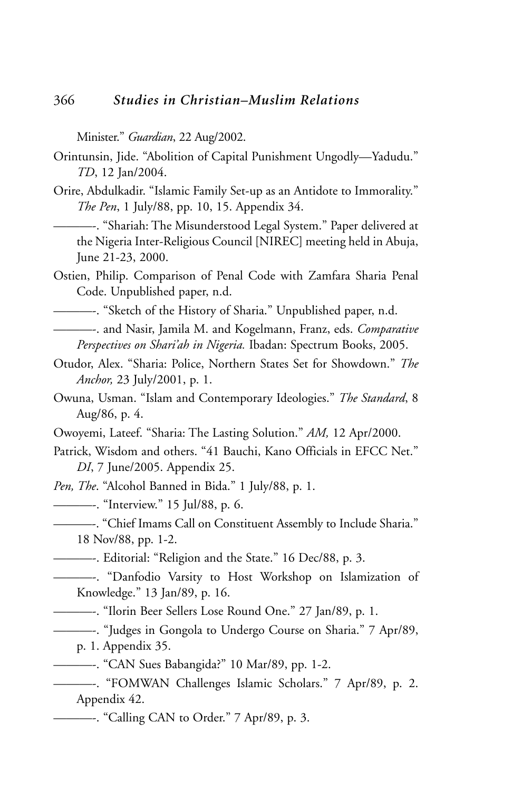Minister." *Guardian*, 22 Aug/2002.

- Orintunsin, Jide. "Abolition of Capital Punishment Ungodly—Yadudu." *TD*, 12 Jan/2004.
- Orire, Abdulkadir. "Islamic Family Set-up as an Antidote to Immorality." *The Pen*, 1 July/88, pp. 10, 15. Appendix 34.

———-. "Shariah: The Misunderstood Legal System." Paper delivered at the Nigeria Inter-Religious Council [NIREC] meeting held in Abuja, June 21-23, 2000.

Ostien, Philip. Comparison of Penal Code with Zamfara Sharia Penal Code. Unpublished paper, n.d.

———-. "Sketch of the History of Sharia." Unpublished paper, n.d.

———-. and Nasir, Jamila M. and Kogelmann, Franz, eds. *Comparative Perspectives on Shari'ah in Nigeria.* Ibadan: Spectrum Books, 2005.

- Otudor, Alex. "Sharia: Police, Northern States Set for Showdown." *The Anchor,* 23 July/2001, p. 1.
- Owuna, Usman. "Islam and Contemporary Ideologies." *The Standard*, 8 Aug/86, p. 4.
- Owoyemi, Lateef. "Sharia: The Lasting Solution." *AM,* 12 Apr/2000.
- Patrick, Wisdom and others. "41 Bauchi, Kano Officials in EFCC Net." *DI*, 7 June/2005. Appendix 25.

*Pen, The*. "Alcohol Banned in Bida." 1 July/88, p. 1.

———-. "Interview." 15 Jul/88, p. 6.

———-. "Chief Imams Call on Constituent Assembly to Include Sharia." 18 Nov/88, pp. 1-2.

———-. Editorial: "Religion and the State." 16 Dec/88, p. 3.

- ———-. "Danfodio Varsity to Host Workshop on Islamization of Knowledge." 13 Jan/89, p. 16.
	- ———-. "Ilorin Beer Sellers Lose Round One." 27 Jan/89, p. 1.
- ———-. "Judges in Gongola to Undergo Course on Sharia." 7 Apr/89,

p. 1. Appendix 35.

- ———-. "CAN Sues Babangida?" 10 Mar/89, pp. 1-2.
- ———-. "FOMWAN Challenges Islamic Scholars." 7 Apr/89, p. 2. Appendix 42.
- ———-. "Calling CAN to Order." 7 Apr/89, p. 3.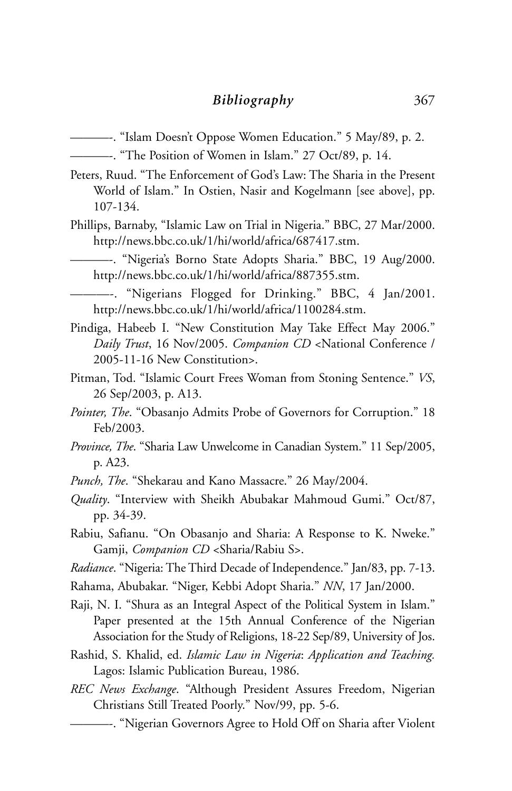- ———-. "Islam Doesn't Oppose Women Education." 5 May/89, p. 2.
	- ———-. "The Position of Women in Islam." 27 Oct/89, p. 14.
- Peters, Ruud. "The Enforcement of God's Law: The Sharia in the Present World of Islam." In Ostien, Nasir and Kogelmann [see above], pp. 107-134.
- Phillips, Barnaby, "Islamic Law on Trial in Nigeria." BBC, 27 Mar/2000. http://news.bbc.co.uk/1/hi/world/africa/687417.stm.

———-. "Nigeria's Borno State Adopts Sharia." BBC, 19 Aug/2000. http://news.bbc.co.uk/1/hi/world/africa/887355.stm.

- ———-. "Nigerians Flogged for Drinking." BBC, 4 Jan/2001. http://news.bbc.co.uk/1/hi/world/africa/1100284.stm.
- Pindiga, Habeeb I. "New Constitution May Take Effect May 2006." *Daily Trust*, 16 Nov/2005. *Companion CD* <National Conference / 2005-11-16 New Constitution>.
- Pitman, Tod. "Islamic Court Frees Woman from Stoning Sentence." *VS*, 26 Sep/2003, p. A13.
- *Pointer, The*. "Obasanjo Admits Probe of Governors for Corruption." 18 Feb/2003.
- *Province, The*. "Sharia Law Unwelcome in Canadian System." 11 Sep/2005, p. A23.
- *Punch, The*. "Shekarau and Kano Massacre." 26 May/2004.
- *Quality*. "Interview with Sheikh Abubakar Mahmoud Gumi." Oct/87, pp. 34-39.
- Rabiu, Safianu. "On Obasanjo and Sharia: A Response to K. Nweke." Gamji, *Companion CD* <Sharia/Rabiu S>.
- *Radiance*. "Nigeria: The Third Decade of Independence." Jan/83, pp. 7-13.
- Rahama, Abubakar. "Niger, Kebbi Adopt Sharia." *NN*, 17 Jan/2000.
- Raji, N. I. "Shura as an Integral Aspect of the Political System in Islam." Paper presented at the 15th Annual Conference of the Nigerian Association for the Study of Religions, 18-22 Sep/89, University of Jos.
- Rashid, S. Khalid, ed. *Islamic Law in Nigeria*: *Application and Teaching.* Lagos: Islamic Publication Bureau, 1986.
- *REC News Exchange*. "Although President Assures Freedom, Nigerian Christians Still Treated Poorly." Nov/99, pp. 5-6.
	- ———-. "Nigerian Governors Agree to Hold Off on Sharia after Violent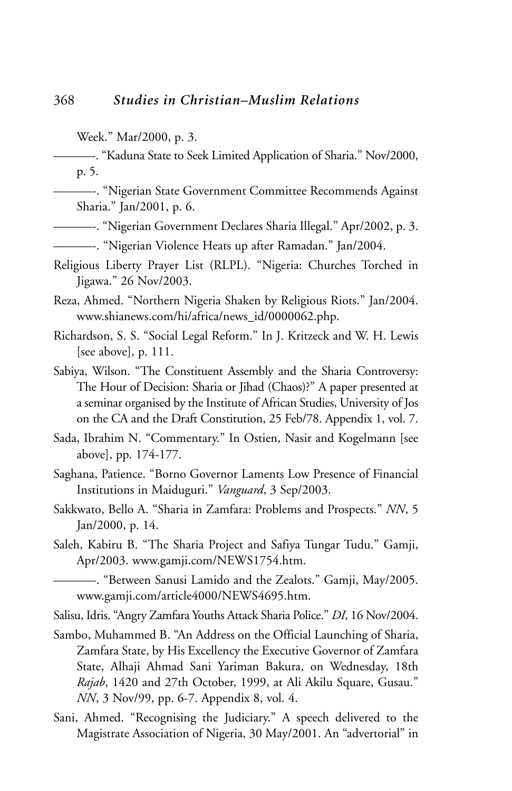———-. "Kaduna State to Seek Limited Application of Sharia." Nov/2000, p. 5.

———-. "Nigerian State Government Committee Recommends Against Sharia." Jan/2001, p. 6.

———-. "Nigerian Government Declares Sharia Illegal." Apr/2002, p. 3.

———-. "Nigerian Violence Heats up after Ramadan." Jan/2004.

Religious Liberty Prayer List (RLPL). "Nigeria: Churches Torched in Jigawa." 26 Nov/2003.

Reza, Ahmed. "Northern Nigeria Shaken by Religious Riots." Jan/2004. www.shianews.com/hi/africa/news\_id/0000062.php.

Richardson, S. S. "Social Legal Reform." In J. Kritzeck and W. H. Lewis [see above], p. 111.

Sabiya, Wilson. "The Constituent Assembly and the Sharia Controversy: The Hour of Decision: Sharia or Jihad (Chaos)?" A paper presented at a seminar organised by the Institute of African Studies, University of Jos on the CA and the Draft Constitution, 25 Feb/78. Appendix 1, vol. 7.

- Sada, Ibrahim N. "Commentary." In Ostien, Nasir and Kogelmann [see above], pp. 174-177.
- Saghana, Patience. "Borno Governor Laments Low Presence of Financial Institutions in Maiduguri." *Vanguard*, 3 Sep/2003.
- Sakkwato, Bello A. "Sharia in Zamfara: Problems and Prospects." *NN*, 5 Jan/2000, p. 14.
- Saleh, Kabiru B. "The Sharia Project and Safiya Tungar Tudu." Gamji, Apr/2003. www.gamji.com/NEWS1754.htm.

———-. "Between Sanusi Lamido and the Zealots." Gamji, May/2005. www.gamji.com/article4000/NEWS4695.htm.

Salisu, Idris. "Angry Zamfara Youths Attack Sharia Police." *DI*, 16 Nov/2004.

- Sambo, Muhammed B. "An Address on the Official Launching of Sharia, Zamfara State, by His Excellency the Executive Governor of Zamfara State, Alhaji Ahmad Sani Yariman Bakura, on Wednesday, 18th *Rajab*, 1420 and 27th October, 1999, at Ali Akilu Square, Gusau." *NN*, 3 Nov/99, pp. 6-7. Appendix 8, vol. 4.
- Sani, Ahmed. "Recognising the Judiciary." A speech delivered to the Magistrate Association of Nigeria, 30 May/2001. An "advertorial" in

Week." Mar/2000, p. 3.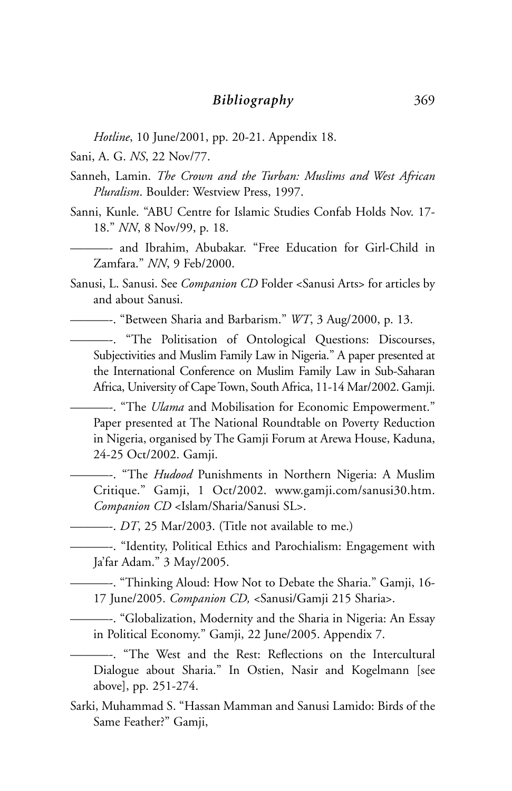*Hotline*, 10 June/2001, pp. 20-21. Appendix 18.

Sani, A. G. *NS*, 22 Nov/77.

- Sanneh, Lamin. *The Crown and the Turban: Muslims and West African Pluralism*. Boulder: Westview Press, 1997.
- Sanni, Kunle. "ABU Centre for Islamic Studies Confab Holds Nov. 17- 18." *NN*, 8 Nov/99, p. 18.
- ———- and Ibrahim, Abubakar. "Free Education for Girl-Child in Zamfara." *NN*, 9 Feb/2000.
- Sanusi, L. Sanusi. See *Companion CD* Folder <Sanusi Arts> for articles by and about Sanusi.

———-. "Between Sharia and Barbarism." *WT*, 3 Aug/2000, p. 13.

———-. "The Politisation of Ontological Questions: Discourses, Subjectivities and Muslim Family Law in Nigeria." A paper presented at the International Conference on Muslim Family Law in Sub-Saharan Africa, University of Cape Town, South Africa, 11-14 Mar/2002. Gamji.

———-. "The *Ulama* and Mobilisation for Economic Empowerment." Paper presented at The National Roundtable on Poverty Reduction in Nigeria, organised by The Gamji Forum at Arewa House, Kaduna, 24-25 Oct/2002. Gamji.

———-. "The *Hudood* Punishments in Northern Nigeria: A Muslim Critique." Gamji, 1 Oct/2002. www.gamji.com/sanusi30.htm. *Companion CD* <Islam/Sharia/Sanusi SL>.

———-. *DT*, 25 Mar/2003. (Title not available to me.)

———-. "Identity, Political Ethics and Parochialism: Engagement with Ja'far Adam." 3 May/2005.

———-. "Thinking Aloud: How Not to Debate the Sharia." Gamji, 16- 17 June/2005. *Companion CD,* <Sanusi/Gamji 215 Sharia>.

———-. "Globalization, Modernity and the Sharia in Nigeria: An Essay in Political Economy." Gamji, 22 June/2005. Appendix 7.

———-. "The West and the Rest: Reflections on the Intercultural Dialogue about Sharia." In Ostien, Nasir and Kogelmann [see above], pp. 251-274.

Sarki, Muhammad S. "Hassan Mamman and Sanusi Lamido: Birds of the Same Feather?" Gamji,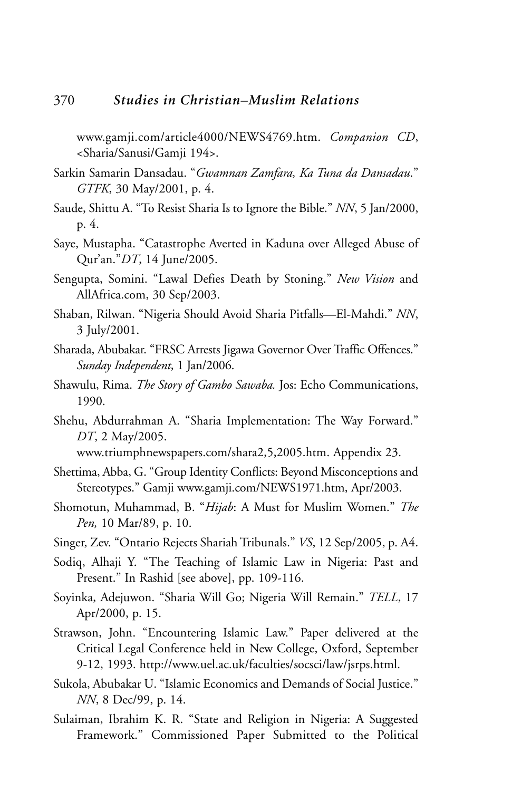www.gamji.com/article4000/NEWS4769.htm. *Companion CD*, <Sharia/Sanusi/Gamji 194>.

- Sarkin Samarin Dansadau. "*Gwamnan Zamfara, Ka Tuna da Dansadau*." *GTFK*, 30 May/2001, p. 4.
- Saude, Shittu A. "To Resist Sharia Is to Ignore the Bible." *NN*, 5 Jan/2000, p. 4.
- Saye, Mustapha. "Catastrophe Averted in Kaduna over Alleged Abuse of Qur'an."*DT*, 14 June/2005.
- Sengupta, Somini. "Lawal Defies Death by Stoning." *New Vision* and AllAfrica.com, 30 Sep/2003.
- Shaban, Rilwan. "Nigeria Should Avoid Sharia Pitfalls—El-Mahdi." *NN*, 3 July/2001.
- Sharada, Abubakar. "FRSC Arrests Jigawa Governor Over Traffic Offences." *Sunday Independent*, 1 Jan/2006.
- Shawulu, Rima. *The Story of Gambo Sawaba.* Jos: Echo Communications, 1990.
- Shehu, Abdurrahman A. "Sharia Implementation: The Way Forward." *DT*, 2 May/2005.

www.triumphnewspapers.com/shara2,5,2005.htm. Appendix 23.

- Shettima, Abba, G. "Group Identity Conflicts: Beyond Misconceptions and Stereotypes." Gamji www.gamji.com/NEWS1971.htm, Apr/2003.
- Shomotun, Muhammad, B. "*Hijab*: A Must for Muslim Women." *The Pen,* 10 Mar/89, p. 10.
- Singer, Zev. "Ontario Rejects Shariah Tribunals." *VS*, 12 Sep/2005, p. A4.
- Sodiq, Alhaji Y. "The Teaching of Islamic Law in Nigeria: Past and Present." In Rashid [see above], pp. 109-116.
- Soyinka, Adejuwon. "Sharia Will Go; Nigeria Will Remain." *TELL*, 17 Apr/2000, p. 15.
- Strawson, John. "Encountering Islamic Law." Paper delivered at the Critical Legal Conference held in New College, Oxford, September 9-12, 1993. http://www.uel.ac.uk/faculties/socsci/law/jsrps.html.
- Sukola, Abubakar U. "Islamic Economics and Demands of Social Justice." *NN*, 8 Dec/99, p. 14.
- Sulaiman, Ibrahim K. R. "State and Religion in Nigeria: A Suggested Framework." Commissioned Paper Submitted to the Political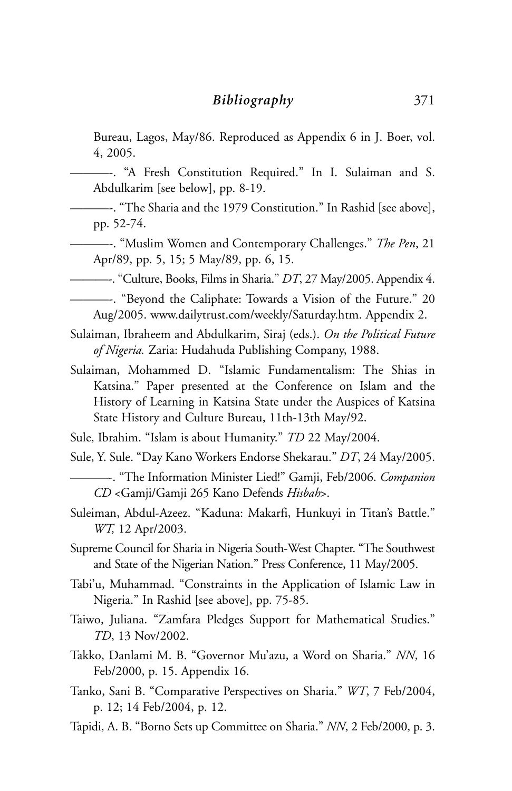Bureau, Lagos, May/86. Reproduced as Appendix 6 in J. Boer, vol. 4, 2005.

———-. "A Fresh Constitution Required." In I. Sulaiman and S. Abdulkarim [see below], pp. 8-19.

———-. "The Sharia and the 1979 Constitution." In Rashid [see above], pp. 52-74.

———-. "Muslim Women and Contemporary Challenges." *The Pen*, 21 Apr/89, pp. 5, 15; 5 May/89, pp. 6, 15.

———-. "Culture, Books, Films in Sharia." *DT*, 27 May/2005. Appendix 4.

- ———-. "Beyond the Caliphate: Towards a Vision of the Future." 20 Aug/2005. www.dailytrust.com/weekly/Saturday.htm. Appendix 2.
- Sulaiman, Ibraheem and Abdulkarim, Siraj (eds.). *On the Political Future of Nigeria.* Zaria: Hudahuda Publishing Company, 1988.
- Sulaiman, Mohammed D. "Islamic Fundamentalism: The Shias in Katsina." Paper presented at the Conference on Islam and the History of Learning in Katsina State under the Auspices of Katsina State History and Culture Bureau, 11th-13th May/92.
- Sule, Ibrahim. "Islam is about Humanity." *TD* 22 May/2004.
- Sule, Y. Sule. "Day Kano Workers Endorse Shekarau." *DT*, 24 May/2005.

———-. "The Information Minister Lied!" Gamji, Feb/2006. *Companion CD* <Gamji/Gamji 265 Kano Defends *Hisbah*>.

Suleiman, Abdul-Azeez. "Kaduna: Makarfi, Hunkuyi in Titan's Battle." *WT,* 12 Apr/2003.

Supreme Council for Sharia in Nigeria South-West Chapter. "The Southwest and State of the Nigerian Nation." Press Conference, 11 May/2005.

- Tabi'u, Muhammad. "Constraints in the Application of Islamic Law in Nigeria." In Rashid [see above], pp. 75-85.
- Taiwo, Juliana. "Zamfara Pledges Support for Mathematical Studies." *TD*, 13 Nov/2002.
- Takko, Danlami M. B. "Governor Mu'azu, a Word on Sharia." *NN*, 16 Feb/2000, p. 15. Appendix 16.
- Tanko, Sani B. "Comparative Perspectives on Sharia." *WT*, 7 Feb/2004, p. 12; 14 Feb/2004, p. 12.
- Tapidi, A. B. "Borno Sets up Committee on Sharia." *NN*, 2 Feb/2000, p. 3.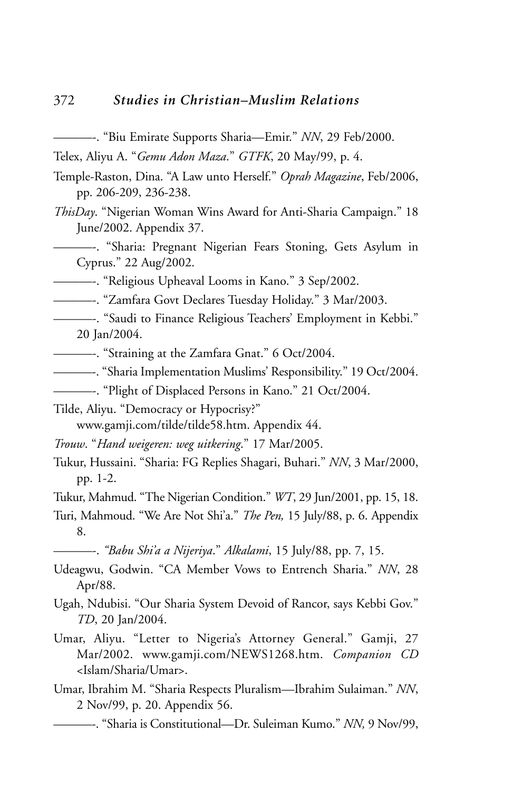- ———-. "Biu Emirate Supports Sharia—Emir." *NN*, 29 Feb/2000.
- Telex, Aliyu A. "*Gemu Adon Maza*." *GTFK*, 20 May/99, p. 4.
- Temple-Raston, Dina. "A Law unto Herself." *Oprah Magazine*, Feb/2006, pp. 206-209, 236-238.
- *ThisDay*. "Nigerian Woman Wins Award for Anti-Sharia Campaign." 18 June/2002. Appendix 37.
- ———-. "Sharia: Pregnant Nigerian Fears Stoning, Gets Asylum in Cyprus." 22 Aug/2002.
- ———-. "Religious Upheaval Looms in Kano." 3 Sep/2002.
- ———-. "Zamfara Govt Declares Tuesday Holiday." 3 Mar/2003.
- ———-. "Saudi to Finance Religious Teachers' Employment in Kebbi." 20 Jan/2004.
- ———-. "Straining at the Zamfara Gnat." 6 Oct/2004.
- ———-. "Sharia Implementation Muslims' Responsibility." 19 Oct/2004.
- ———-. "Plight of Displaced Persons in Kano." 21 Oct/2004.

Tilde, Aliyu. "Democracy or Hypocrisy?"

www.gamji.com/tilde/tilde58.htm. Appendix 44.

- *Trouw*. "*Hand weigeren: weg uitkering*." 17 Mar/2005.
- Tukur, Hussaini. "Sharia: FG Replies Shagari, Buhari." *NN*, 3 Mar/2000, pp. 1-2.
- Tukur, Mahmud. "The Nigerian Condition." *WT*, 29 Jun/2001, pp. 15, 18.
- Turi, Mahmoud. "We Are Not Shi'a." *The Pen,* 15 July/88, p. 6. Appendix 8.

———-. *"Babu Shi'a a Nijeriya*." *Alkalami*, 15 July/88, pp. 7, 15.

- Udeagwu, Godwin. "CA Member Vows to Entrench Sharia." *NN*, 28 Apr/88.
- Ugah, Ndubisi. "Our Sharia System Devoid of Rancor, says Kebbi Gov." *TD*, 20 Jan/2004.
- Umar, Aliyu. "Letter to Nigeria's Attorney General." Gamji, 27 Mar/2002. www.gamji.com/NEWS1268.htm. *Companion CD* <Islam/Sharia/Umar>.
- Umar, Ibrahim M. "Sharia Respects Pluralism—Ibrahim Sulaiman." *NN*, 2 Nov/99, p. 20. Appendix 56.
	- ———-. "Sharia is Constitutional—Dr. Suleiman Kumo." *NN,* 9 Nov/99,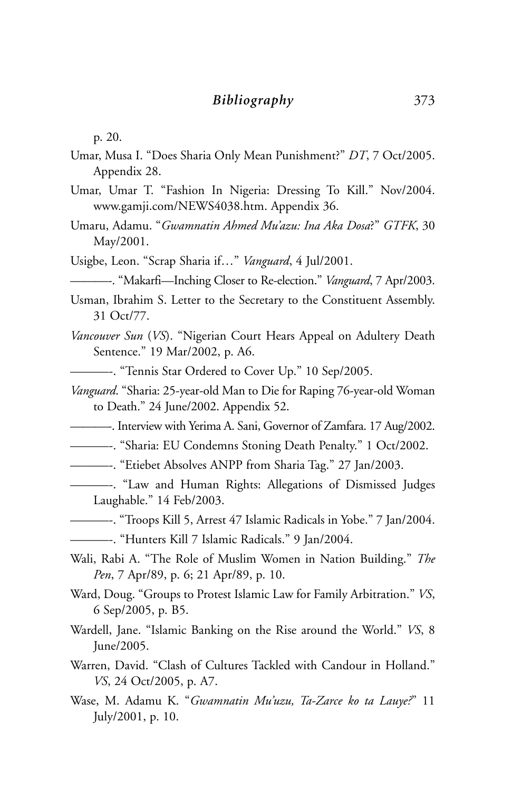p. 20.

- Umar, Musa I. "Does Sharia Only Mean Punishment?" *DT*, 7 Oct/2005. Appendix 28.
- Umar, Umar T. "Fashion In Nigeria: Dressing To Kill." Nov/2004. www.gamji.com/NEWS4038.htm. Appendix 36.
- Umaru, Adamu. "*Gwamnatin Ahmed Mu'azu: Ina Aka Dosa*?" *GTFK*, 30 May/2001.
- Usigbe, Leon. "Scrap Sharia if…" *Vanguard*, 4 Jul/2001.
	- ———-. "Makarfi—Inching Closer to Re-election." *Vanguard*, 7 Apr/2003.
- Usman, Ibrahim S. Letter to the Secretary to the Constituent Assembly. 31 Oct/77.
- *Vancouver Sun* (*VS*). "Nigerian Court Hears Appeal on Adultery Death Sentence." 19 Mar/2002, p. A6.
	- ———-. "Tennis Star Ordered to Cover Up." 10 Sep/2005.
- *Vanguard*. "Sharia: 25-year-old Man to Die for Raping 76-year-old Woman to Death." 24 June/2002. Appendix 52.
- ———-. Interview with Yerima A. Sani, Governor of Zamfara. 17 Aug/2002.
- ———-. "Sharia: EU Condemns Stoning Death Penalty." 1 Oct/2002.
- ———-. "Etiebet Absolves ANPP from Sharia Tag." 27 Jan/2003.
- ———-. "Law and Human Rights: Allegations of Dismissed Judges Laughable." 14 Feb/2003.
- ———-. "Troops Kill 5, Arrest 47 Islamic Radicals in Yobe." 7 Jan/2004.
- ———-. "Hunters Kill 7 Islamic Radicals." 9 Jan/2004.
- Wali, Rabi A. "The Role of Muslim Women in Nation Building." *The Pen*, 7 Apr/89, p. 6; 21 Apr/89, p. 10.
- Ward, Doug. "Groups to Protest Islamic Law for Family Arbitration." *VS*, 6 Sep/2005, p. B5.
- Wardell, Jane. "Islamic Banking on the Rise around the World." *VS*, 8 June/2005.
- Warren, David. "Clash of Cultures Tackled with Candour in Holland." *VS*, 24 Oct/2005, p. A7.
- Wase, M. Adamu K. "*Gwamnatin Mu'uzu, Ta-Zarce ko ta Lauye?*" 11 July/2001, p. 10.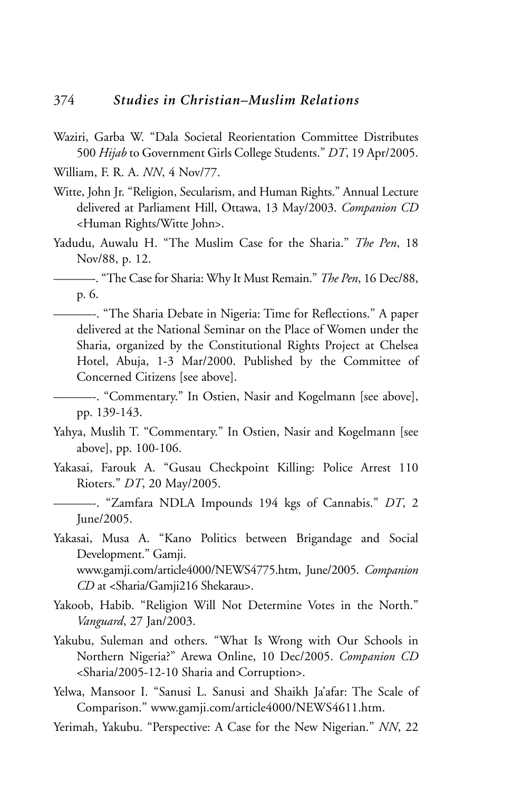- Waziri, Garba W. "Dala Societal Reorientation Committee Distributes 500 *Hijab* to Government Girls College Students." *DT*, 19 Apr/2005.
- William, F. R. A. *NN*, 4 Nov/77.
- Witte, John Jr. "Religion, Secularism, and Human Rights." Annual Lecture delivered at Parliament Hill, Ottawa, 13 May/2003. *Companion CD* <Human Rights/Witte John>.
- Yadudu, Auwalu H. "The Muslim Case for the Sharia." *The Pen*, 18 Nov/88, p. 12.

———-. "The Case for Sharia: Why It Must Remain." *The Pen*, 16 Dec/88, p. 6.

- ———-. "The Sharia Debate in Nigeria: Time for Reflections." A paper delivered at the National Seminar on the Place of Women under the Sharia, organized by the Constitutional Rights Project at Chelsea Hotel, Abuja, 1-3 Mar/2000. Published by the Committee of Concerned Citizens [see above].
- ———-. "Commentary." In Ostien, Nasir and Kogelmann [see above], pp. 139-143.
- Yahya, Muslih T. "Commentary." In Ostien, Nasir and Kogelmann [see above], pp. 100-106.
- Yakasai, Farouk A. "Gusau Checkpoint Killing: Police Arrest 110 Rioters." *DT*, 20 May/2005.

———-. "Zamfara NDLA Impounds 194 kgs of Cannabis." *DT*, 2 June/2005.

- Yakasai, Musa A. "Kano Politics between Brigandage and Social Development." Gamji. www.gamji.com/article4000/NEWS4775.htm, June/2005. *Companion CD* at <Sharia/Gamji216 Shekarau>.
- Yakoob, Habib. "Religion Will Not Determine Votes in the North." *Vanguard*, 27 Jan/2003.
- Yakubu, Suleman and others. "What Is Wrong with Our Schools in Northern Nigeria?" Arewa Online, 10 Dec/2005. *Companion CD* <Sharia/2005-12-10 Sharia and Corruption>.
- Yelwa, Mansoor I. "Sanusi L. Sanusi and Shaikh Ja'afar: The Scale of Comparison." www.gamji.com/article4000/NEWS4611.htm.
- Yerimah, Yakubu. "Perspective: A Case for the New Nigerian." *NN*, 22